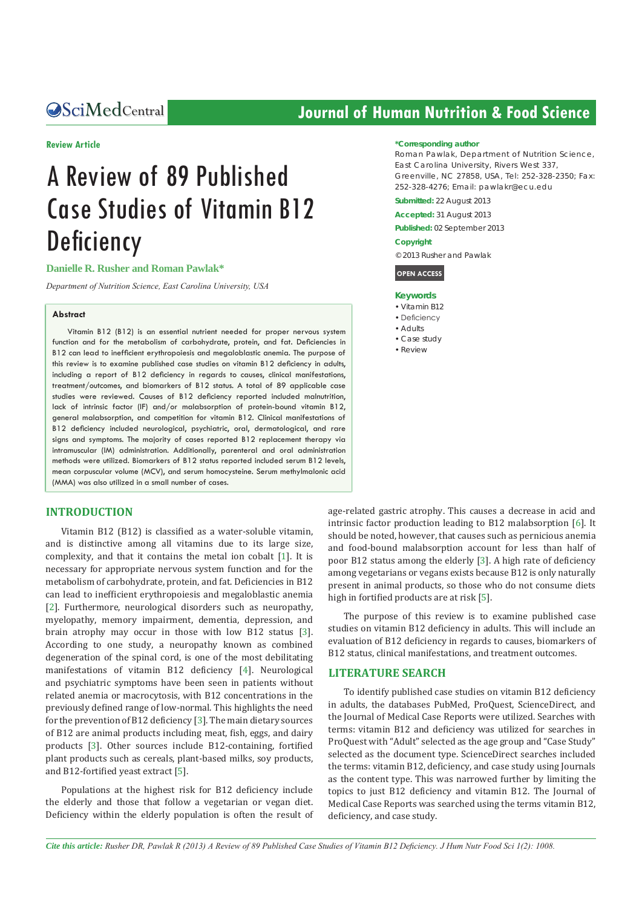#### **Review Article**

# A Review of 89 Published Case Studies of Vitamin B12 **Deficiency**

#### **Danielle R. Rusher and Roman Pawlak\***

*Department of Nutrition Science, East Carolina University, USA*

#### **Abstract**

Vitamin B12 (B12) is an essential nutrient needed for proper nervous system function and for the metabolism of carbohydrate, protein, and fat. Deficiencies in B12 can lead to inefficient erythropoiesis and megaloblastic anemia. The purpose of this review is to examine published case studies on vitamin B12 deficiency in adults, including a report of B12 deficiency in regards to causes, clinical manifestations, treatment/outcomes, and biomarkers of B12 status. A total of 89 applicable case studies were reviewed. Causes of B12 deficiency reported included malnutrition, lack of intrinsic factor (IF) and/or malabsorption of protein-bound vitamin B12, general malabsorption, and competition for vitamin B12. Clinical manifestations of B12 deficiency included neurological, psychiatric, oral, dermatological, and rare signs and symptoms. The majority of cases reported B12 replacement therapy via intramuscular (IM) administration. Additionally, parenteral and oral administration methods were utilized. Biomarkers of B12 status reported included serum B12 levels, mean corpuscular volume (MCV), and serum homocysteine. Serum methylmalonic acid (MMA) was also utilized in a small number of cases.

#### **INTRODUCTION**

Vitamin B12 (B12) is classified as a water-soluble vitamin, and is distinctive among all vitamins due to its large size, complexity, and that it contains the metal ion cobalt [[1\]](#page-9-0). It is necessary for appropriate nervous system function and for the metabolism of carbohydrate, protein, and fat. Deficiencies in B12 can lead to inefficient erythropoiesis and megaloblastic anemia [[2](#page-9-1)]. Furthermore, neurological disorders such as neuropathy, myelopathy, memory impairment, dementia, depression, and brain atrophy may occur in those with low B12 status [[3\]](#page-9-2). According to one study, a neuropathy known as combined degeneration of the spinal cord, is one of the most debilitating manifestations of vitamin B12 deficiency [[4](#page-9-3)]. Neurological and psychiatric symptoms have been seen in patients without related anemia or macrocytosis, with B12 concentrations in the previously defined range of low-normal. This highlights the need for the prevention of B12 deficiency [[3](#page-9-2)]. The main dietary sources of B12 are animal products including meat, fish, eggs, and dairy products [[3](#page-9-2)]. Other sources include B12-containing, fortified plant products such as cereals, plant-based milks, soy products, and B12-fortified yeast extract [[5\]](#page-9-4).

Populations at the highest risk for B12 deficiency include the elderly and those that follow a vegetarian or vegan diet. Deficiency within the elderly population is often the result of

## **CALCED AND CONTROLLER CONTROLLER CONTROLLER CONTROLLER CONTROLLER CONTROLLER CONTROLLER CONTROLLER CONTROVER CONTROLLER CONTROLLER CONTROLLER CONTROLLER CONTROLLER CONTROLLER CONTROLLER CONTROLLER CONTROLLER CONTROLLER CO**

#### **\*Corresponding author**

Roman Pawlak, Department of Nutrition Science, East Carolina University, Rivers West 337, Greenville, NC 27858, USA, Tel: 252-328-2350; Fax: 252-328-4276; Email: pawlakr@ecu.edu

**Submitted:** 22 August 2013

**Accepted:** 31 August 2013

**Published:** 02 September 2013

#### **Copyright**

© 2013 Rusher and Pawlak

**OPEN ACCESS**

#### **Keywords**

- • Vitamin B12
- Deficiency
- • Adults
- • Case study
- • Review

age-related gastric atrophy. This causes a decrease in acid and intrinsic factor production leading to B12 malabsorption [[6\]](#page-9-5). It should be noted, however, that causes such as pernicious anemia and food-bound malabsorption account for less than half of poor B12 status among the elderly [[3](#page-9-2)]. A high rate of deficiency among vegetarians or vegans exists because B12 is only naturally present in animal products, so those who do not consume diets high in fortified products are at risk [[5\]](#page-9-4).

The purpose of this review is to examine published case studies on vitamin B12 deficiency in adults. This will include an evaluation of B12 deficiency in regards to causes, biomarkers of B12 status, clinical manifestations, and treatment outcomes.

#### **LITERATURE SEARCH**

To identify published case studies on vitamin B12 deficiency in adults, the databases PubMed, ProQuest, ScienceDirect, and the Journal of Medical Case Reports were utilized. Searches with terms: vitamin B12 and deficiency was utilized for searches in ProQuest with "Adult" selected as the age group and "Case Study" selected as the document type. ScienceDirect searches included the terms: vitamin B12, deficiency, and case study using Journals as the content type. This was narrowed further by limiting the topics to just B12 deficiency and vitamin B12. The Journal of Medical Case Reports was searched using the terms vitamin B12, deficiency, and case study.

*Cite this article: Rusher DR, Pawlak R (2013) A Review of 89 Published Case Studies of Vitamin B12 Deficiency. J Hum Nutr Food Sci 1(2): 1008.*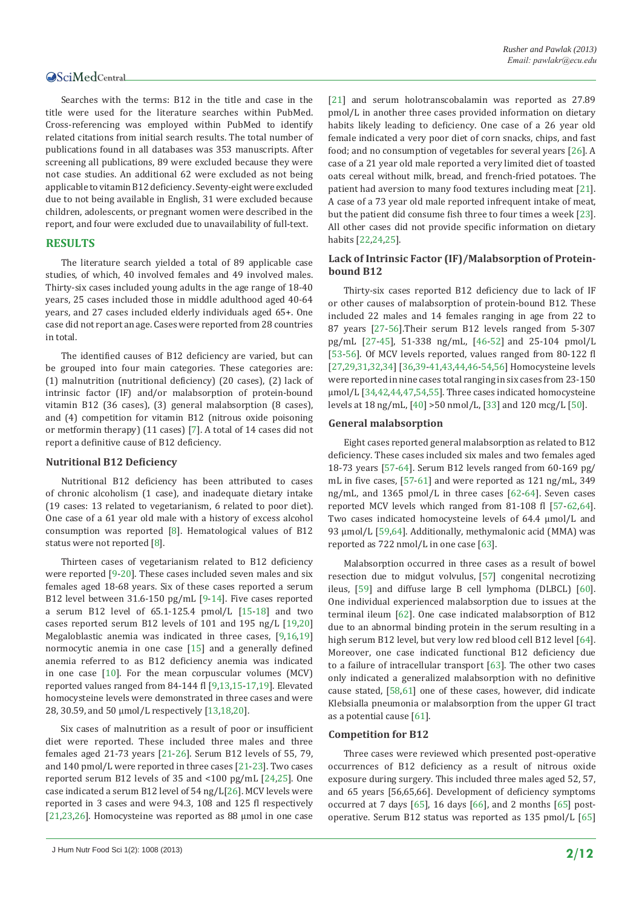Searches with the terms: B12 in the title and case in the title were used for the literature searches within PubMed. Cross-referencing was employed within PubMed to identify related citations from initial search results. The total number of publications found in all databases was 353 manuscripts. After screening all publications, 89 were excluded because they were not case studies. An additional 62 were excluded as not being applicable to vitamin B12 deficiency. Seventy-eight were excluded due to not being available in English, 31 were excluded because children, adolescents, or pregnant women were described in the report, and four were excluded due to unavailability of full-text.

#### **RESULTS**

The literature search yielded a total of 89 applicable case studies, of which, 40 involved females and 49 involved males. Thirty-six cases included young adults in the age range of 18-40 years, 25 cases included those in middle adulthood aged 40-64 years, and 27 cases included elderly individuals aged 65+. One case did not report an age. Cases were reported from 28 countries in total.

The identified causes of B12 deficiency are varied, but can be grouped into four main categories. These categories are: (1) malnutrition (nutritional deficiency) (20 cases), (2) lack of intrinsic factor (IF) and/or malabsorption of protein-bound vitamin B12 (36 cases), (3) general malabsorption (8 cases), and (4) competition for vitamin B12 (nitrous oxide poisoning or metformin therapy) (11 cases) [[7\]](#page-9-6). A total of 14 cases did not report a definitive cause of B12 deficiency.

#### **Nutritional B12 Deficiency**

Nutritional B12 deficiency has been attributed to cases of chronic alcoholism (1 case), and inadequate dietary intake (19 cases: 13 related to vegetarianism, 6 related to poor diet). One case of a 61 year old male with a history of excess alcohol consumption was reported [\[8](#page-9-7)]. Hematological values of B12 status were not reported [\[8](#page-9-7)].

Thirteen cases of vegetarianism related to B12 deficiency were reported [\[9](#page-9-8)[-20\]](#page-10-0). These cases included seven males and six females aged 18-68 years. Six of these cases reported a serum B12 level between 31.6-150 pg/mL [\[9](#page-9-8)-[14](#page-10-1)]. Five cases reported a serum B12 level of 65.1-125.4 pmol/L [[15](#page-10-2)[-18](#page-10-3)] and two cases reported serum B12 levels of 101 and 195 ng/L [[19](#page-10-4)[,20](#page-10-0)] Megaloblastic anemia was indicated in three cases, [[9,](#page-9-8)[16](#page-10-5)[,19](#page-10-4)] normocytic anemia in one case [[15](#page-10-2)] and a generally defined anemia referred to as B12 deficiency anemia was indicated in one case [[10\]](#page-9-9). For the mean corpuscular volumes (MCV) reported values ranged from 84-144 fl [[9,](#page-9-8)[13](#page-9-10),[15](#page-10-2)[-17](#page-10-6),[19\]](#page-10-4). Elevated homocysteine levels were demonstrated in three cases and were 28, 30.59, and 50 µmol/L respectively [[13](#page-9-10),[18,](#page-10-3)[20](#page-10-0)].

Six cases of malnutrition as a result of poor or insufficient diet were reported. These included three males and three females aged 21-73 years [[21](#page-10-7)-[26](#page-10-8)]. Serum B12 levels of 55, 79, and 140 pmol/L were reported in three cases [[21](#page-10-7)-[23](#page-10-9)]. Two cases reported serum B12 levels of 35 and <100 pg/mL [[24](#page-10-10),[25](#page-10-11)]. One case indicated a serum B12 level of 54 ng/L[[26](#page-10-8)]. MCV levels were reported in 3 cases and were 94.3, 108 and 125 fl respectively [[21](#page-10-7),[23](#page-10-9),[26](#page-10-8)]. Homocysteine was reported as 88 µmol in one case

[[21](#page-10-7)] and serum holotranscobalamin was reported as 27.89 pmol/L in another three cases provided information on dietary habits likely leading to deficiency. One case of a 26 year old female indicated a very poor diet of corn snacks, chips, and fast food; and no consumption of vegetables for several years [[26\]](#page-10-8). A case of a 21 year old male reported a very limited diet of toasted oats cereal without milk, bread, and french-fried potatoes. The patient had aversion to many food textures including meat [[21\]](#page-10-7). A case of a 73 year old male reported infrequent intake of meat, but the patient did consume fish three to four times a week [[23\]](#page-10-9). All other cases did not provide specific information on dietary habits [[22](#page-10-12),[24](#page-10-10),[25](#page-10-11)].

#### **Lack of Intrinsic Factor (IF)/Malabsorption of Proteinbound B12**

Thirty-six cases reported B12 deficiency due to lack of IF or other causes of malabsorption of protein-bound B12. These included 22 males and 14 females ranging in age from 22 to 87 years [\[27](#page-10-13)-[56](#page-11-0)].Their serum B12 levels ranged from 5-307 pg/mL [\[27](#page-10-13)-[45](#page-10-14)], 51-338 ng/mL, [[46](#page-10-15)-[52\]](#page-10-16) and 25-104 pmol/L [[53](#page-10-17)-[56](#page-11-0)]. Of MCV levels reported, values ranged from 80-122 fl [[27,](#page-10-13)[29,](#page-10-18)[31](#page-10-19),[32](#page-10-20),[34](#page-10-21)] [[36](#page-10-22)[,39](#page-10-23)-[41](#page-10-24),[43](#page-10-25),[44](#page-10-26),[46](#page-10-15)-[54](#page-11-1),[56](#page-11-0)] Homocysteine levels were reported in nine cases total ranging in six cases from 23-150 µmol/L [[34](#page-10-21),[42](#page-10-27),[44](#page-10-26),[47,](#page-10-28)[54](#page-11-1),[55](#page-11-2)]. Three cases indicated homocysteine levels at 18 ng/mL, [\[40](#page-10-29)] >50 nmol/L, [[33](#page-10-30)] and 120 mcg/L [[50](#page-10-31)].

#### **General malabsorption**

Eight cases reported general malabsorption as related to B12 deficiency. These cases included six males and two females aged 18-73 years [[57-](#page-11-3)[64](#page-11-4)]. Serum B12 levels ranged from 60-169 pg/ mL in five cases, [[57](#page-11-3)-[61](#page-11-5)] and were reported as 121 ng/mL, 349 ng/mL, and 1365 pmol/L in three cases [[62](#page-11-6)-[64](#page-11-4)]. Seven cases reported MCV levels which ranged from 81-108 fl [\[57-](#page-11-3)[62](#page-11-6),[64\]](#page-11-4). Two cases indicated homocysteine levels of 64.4 µmol/L and 93 µmol/L [[59](#page-11-7),[64](#page-11-4)]. Additionally, methymalonic acid (MMA) was reported as 722 nmol/L in one case [[63](#page-11-8)].

Malabsorption occurred in three cases as a result of bowel resection due to midgut volvulus, [\[57](#page-11-3)] congenital necrotizing ileus, [\[59](#page-11-7)] and diffuse large B cell lymphoma (DLBCL) [[60](#page-11-9)]. One individual experienced malabsorption due to issues at the terminal ileum [[62](#page-11-6)]. One case indicated malabsorption of B12 due to an abnormal binding protein in the serum resulting in a high serum B12 level, but very low red blood cell B12 level [[64\]](#page-11-4). Moreover, one case indicated functional B12 deficiency due to a failure of intracellular transport [[63](#page-11-8)]. The other two cases only indicated a generalized malabsorption with no definitive cause stated, [[58,](#page-11-10)[61](#page-11-5)] one of these cases, however, did indicate Klebsialla pneumonia or malabsorption from the upper GI tract as a potential cause [[61\]](#page-11-5).

#### **Competition for B12**

Three cases were reviewed which presented post-operative occurrences of B12 deficiency as a result of nitrous oxide exposure during surgery. This included three males aged 52, 57, and 65 years [56,65,66]. Development of deficiency symptoms occurred at 7 days [[65](#page-11-11)], 16 days [[66](#page-11-12)], and 2 months [[65](#page-11-11)] postoperative. Serum B12 status was reported as 135 pmol/L [[65\]](#page-11-11)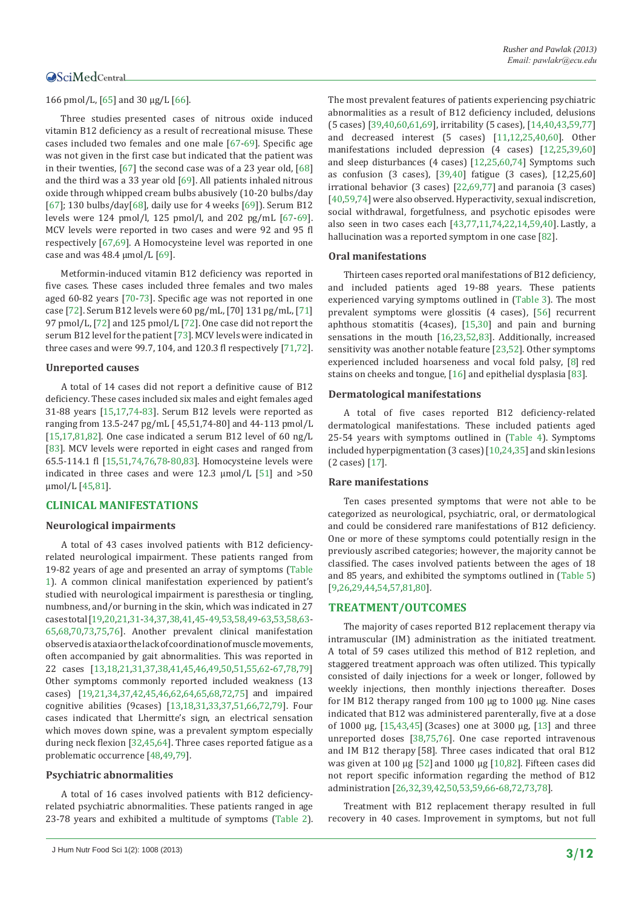#### 166 pmol/L, [[65](#page-11-11)] and 30 µg/L [[66\]](#page-11-12).

Three studies presented cases of nitrous oxide induced vitamin B12 deficiency as a result of recreational misuse. These cases included two females and one male [[67](#page-11-13)[-69](#page-11-14)]. Specific age was not given in the first case but indicated that the patient was in their twenties, [[67\]](#page-11-13) the second case was of a 23 year old, [\[68](#page-11-15)] and the third was a 33 year old [\[69](#page-11-14)]. All patients inhaled nitrous oxide through whipped cream bulbs abusively (10-20 bulbs/day [[67\]](#page-11-13); 130 bulbs/day[\[68](#page-11-15)], daily use for 4 weeks [\[69](#page-11-14)]). Serum B12 levels were 124 pmol/l, 125 pmol/l, and 202 pg/mL [[67-](#page-11-13)[69](#page-11-14)]. MCV levels were reported in two cases and were 92 and 95 fl respectively [\[67](#page-11-13),[69\]](#page-11-14). A Homocysteine level was reported in one case and was  $48.4 \text{ mmol/L}$  [\[69](#page-11-14)].

Metformin-induced vitamin B12 deficiency was reported in five cases. These cases included three females and two males aged 60-82 years [\[70](#page-11-16)[-73](#page-11-17)]. Specific age was not reported in one case [[72\]](#page-11-18). Serum B12 levels were 60 pg/mL, [70] 131 pg/mL, [\[71](#page-11-19)] 97 pmol/L, [[72\]](#page-11-18) and 125 pmol/L [\[72](#page-11-18)]. One case did not report the serum B12 level for the patient [[73\]](#page-11-17). MCV levels were indicated in three cases and were 99.7, 104, and 120.3 fl respectively [[71,](#page-11-19)[72](#page-11-18)].

#### **Unreported causes**

A total of 14 cases did not report a definitive cause of B12 deficiency. These cases included six males and eight females aged 31-88 years [[15](#page-10-2),[17,](#page-10-6)[74](#page-11-20)[-83](#page-11-21)]. Serum B12 levels were reported as ranging from 13.5-247 pg/mL [ 45,51,74-80] and 44-113 pmol/L [[15](#page-10-2)[,17](#page-10-6)[,81](#page-11-22)[,82](#page-11-23)]. One case indicated a serum B12 level of 60 ng/L [[83\]](#page-11-21). MCV levels were reported in eight cases and ranged from 65.5-114.1 fl [[15](#page-10-2),[51](#page-10-32),[74,](#page-11-20)[76,](#page-11-24)[78](#page-11-25)[-80](#page-11-26)[,83](#page-11-21)]. Homocysteine levels were indicated in three cases and were 12.3  $\mu$ mol/L [[51](#page-10-32)] and >50 µmol/L [[45](#page-10-14)[,81](#page-11-22)].

#### **CLINICAL MANIFESTATIONS**

#### **Neurological impairments**

A total of 43 cases involved patients with B12 deficiencyrelated neurological impairment. These patients ranged from 19-82 years of age and presented an array of symptoms [\(Table](#page-3-0)  [1](#page-3-0)). A common clinical manifestation experienced by patient's studied with neurological impairment is paresthesia or tingling, numbness, and/or burning in the skin, which was indicated in 27 cases total [\[19](#page-10-4),[20,](#page-10-0)[21](#page-10-7),[31](#page-10-19)-[34](#page-10-21)[,37](#page-10-33)[,38](#page-10-34),[41](#page-10-24),[45](#page-10-14)-[49,](#page-10-35)[53](#page-10-17)[,58](#page-11-10)[,49](#page-10-35)-[63](#page-11-8),[53](#page-10-17),[58,](#page-11-10)[63](#page-11-8)- [65](#page-11-11)[,68](#page-11-15)[,70](#page-11-16),[73,](#page-11-17)[75,](#page-11-27)[76\]](#page-11-24). Another prevalent clinical manifestation observed is ataxia or the lack of coordination of muscle movements, often accompanied by gait abnormalities. This was reported in 22 cases [[13](#page-9-10)[,18,](#page-10-3)[21](#page-10-7),[31](#page-10-19),[37,](#page-10-33)[38](#page-10-34),[41](#page-10-24),[45](#page-10-14),[46](#page-10-15),[49,](#page-10-35)[50](#page-10-31),[51](#page-10-32),[55](#page-11-2),[62](#page-11-6)-[67,](#page-11-13)[78,](#page-11-25)[79](#page-11-28)] Other symptoms commonly reported included weakness (13 cases) [[19,](#page-10-4)[21](#page-10-7),[34](#page-10-21)[,37](#page-10-33),[42](#page-10-27),[45](#page-10-14),[46](#page-10-15),[62](#page-11-6),[64](#page-11-4),[65](#page-11-11),[68,](#page-11-15)[72,](#page-11-18)[75](#page-11-27)] and impaired cognitive abilities (9cases) [[13](#page-9-10),[18,](#page-10-3)[31](#page-10-19),[33](#page-10-30)[,37](#page-10-33),[51](#page-10-32),[66](#page-11-12),[72,](#page-11-18)[79\]](#page-11-28). Four cases indicated that Lhermitte's sign, an electrical sensation which moves down spine, was a prevalent symptom especially during neck flexion [[32](#page-10-20),[45](#page-10-14),[64](#page-11-4)]. Three cases reported fatigue as a problematic occurrence [\[48](#page-10-36)[,49,](#page-10-35)[79](#page-11-28)].

#### **Psychiatric abnormalities**

A total of 16 cases involved patients with B12 deficiencyrelated psychiatric abnormalities. These patients ranged in age 23-78 years and exhibited a multitude of symptoms ([Table 2](#page-5-0)). The most prevalent features of patients experiencing psychiatric abnormalities as a result of B12 deficiency included, delusions (5 cases) [\[39](#page-10-23)[,40](#page-10-29)[,60](#page-11-9),[61](#page-11-5),[69\]](#page-11-14), irritability (5 cases), [[14](#page-10-1)[,40](#page-10-29),[43](#page-10-25),[59,](#page-11-7)[77](#page-11-29)] and decreased interest (5 cases) [[11](#page-9-11),[12](#page-9-12),[25](#page-10-11),[40](#page-10-29)[,60](#page-11-9)]. Other manifestations included depression (4 cases) [[12](#page-9-12),[25](#page-10-11),[39,](#page-10-23)[60](#page-11-9)] and sleep disturbances (4 cases) [[12](#page-9-12),[25](#page-10-11)[,60](#page-11-9)[,74](#page-11-20)] Symptoms such as confusion (3 cases), [[39,](#page-10-23)[40](#page-10-29)] fatigue (3 cases), [12,25,60] irrational behavior (3 cases) [[22](#page-10-12)[,69](#page-11-14)[,77](#page-11-29)] and paranoia (3 cases) [[40,](#page-10-29)[59,](#page-11-7)[74](#page-11-20)] were also observed. Hyperactivity, sexual indiscretion, social withdrawal, forgetfulness, and psychotic episodes were also seen in two cases each [[43](#page-10-25),[77](#page-11-29),[11](#page-9-11)[,74](#page-11-20),[22](#page-10-12),[14](#page-10-1),[59,](#page-11-7)[40](#page-10-29)]. Lastly, a hallucination was a reported symptom in one case [\[82](#page-11-23)].

#### **Oral manifestations**

Thirteen cases reported oral manifestations of B12 deficiency, and included patients aged 19-88 years. These patients experienced varying symptoms outlined in ([Table 3\)](#page-6-0). The most prevalent symptoms were glossitis (4 cases), [[56](#page-11-0)] recurrent aphthous stomatitis (4cases), [[15](#page-10-2)[,30](#page-10-37)] and pain and burning sensations in the mouth [[16](#page-10-5),[23](#page-10-9),[52](#page-10-16)[,83](#page-11-21)]. Additionally, increased sensitivity was another notable feature [[23](#page-10-9),[52](#page-10-16)]. Other symptoms experienced included hoarseness and vocal fold palsy, [\[8](#page-9-7)] red stains on cheeks and tongue, [[16](#page-10-5)] and epithelial dysplasia [\[83](#page-11-21)].

#### **Dermatological manifestations**

A total of five cases reported B12 deficiency-related dermatological manifestations. These included patients aged 25-54 years with symptoms outlined in ([Table 4\)](#page-7-0). Symptoms included hyperpigmentation (3 cases)[[10,](#page-9-9)[24](#page-10-10),[35](#page-10-38)] and skin lesions (2 cases) [\[17](#page-10-6)].

#### **Rare manifestations**

Ten cases presented symptoms that were not able to be categorized as neurological, psychiatric, oral, or dermatological and could be considered rare manifestations of B12 deficiency. One or more of these symptoms could potentially resign in the previously ascribed categories; however, the majority cannot be classified. The cases involved patients between the ages of 18 and 85 years, and exhibited the symptoms outlined in [\(Table 5](#page-7-1)) [[9,](#page-9-8)[26](#page-10-8),[29](#page-10-18),[44](#page-10-26),[54](#page-11-1),[57,](#page-11-3)[81,](#page-11-22)[80](#page-11-26)].

#### **TREATMENT/OUTCOMES**

The majority of cases reported B12 replacement therapy via intramuscular (IM) administration as the initiated treatment. A total of 59 cases utilized this method of B12 repletion, and staggered treatment approach was often utilized. This typically consisted of daily injections for a week or longer, followed by weekly injections, then monthly injections thereafter. Doses for IM B12 therapy ranged from 100 µg to 1000 µg. Nine cases indicated that B12 was administered parenterally, five at a dose of 1000 µg, [[15](#page-10-2),[43](#page-10-25),[45\]](#page-10-14) (3cases) one at 3000 µg, [[13](#page-9-10)] and three unreported doses [\[38](#page-10-34)[,75,](#page-11-27)[76\]](#page-11-24). One case reported intravenous and IM B12 therapy [58]. Three cases indicated that oral B12 was given at 100 µg [[52\]](#page-10-16) and 1000 µg [\[10](#page-9-9)[,82\]](#page-11-23). Fifteen cases did not report specific information regarding the method of B12 administration [[26](#page-10-8),[32](#page-10-20),[39,](#page-10-23)[42](#page-10-27)[,50](#page-10-31),[53](#page-10-17),[59,](#page-11-7)[66](#page-11-12)-[68,](#page-11-15)[72,](#page-11-18)[73](#page-11-17)[,78](#page-11-25)].

Treatment with B12 replacement therapy resulted in full recovery in 40 cases. Improvement in symptoms, but not full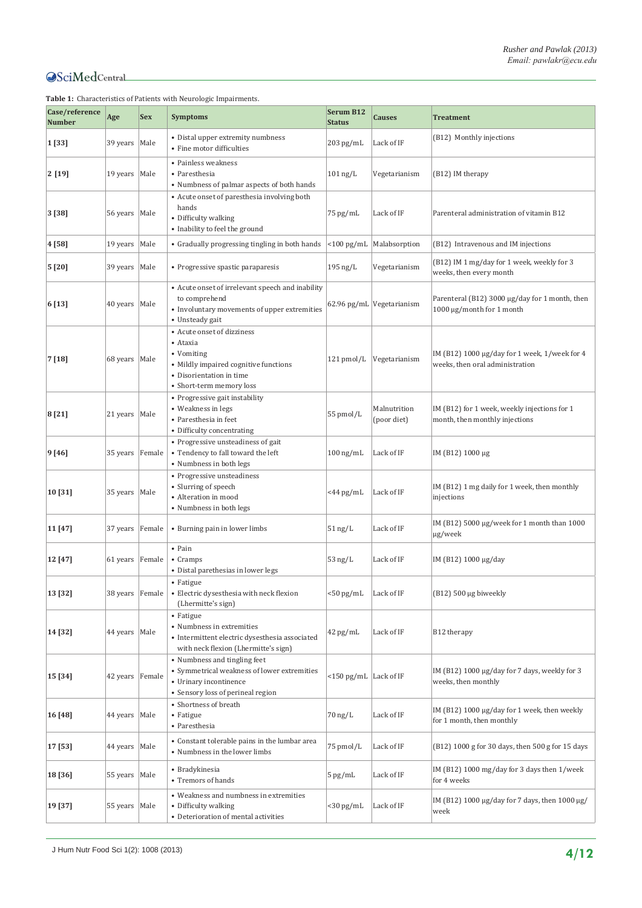| Case/reference<br><b>Number</b> | Age               | <b>Sex</b> | <b>Symptoms</b>                                                                                                                                       | Serum B12<br><b>Status</b>     | <b>Causes</b>               | <b>Treatment</b>                                                                 |
|---------------------------------|-------------------|------------|-------------------------------------------------------------------------------------------------------------------------------------------------------|--------------------------------|-----------------------------|----------------------------------------------------------------------------------|
| 1 [33]                          | 39 years          | Male       | • Distal upper extremity numbness<br>• Fine motor difficulties                                                                                        | $203$ pg/mL                    | Lack of IF                  | (B12) Monthly injections                                                         |
| $2$ [19]                        | 19 years   Male   |            | • Painless weakness<br>• Paresthesia<br>• Numbness of palmar aspects of both hands                                                                    | $101$ ng/L                     | Vegetarianism               | (B12) IM therapy                                                                 |
| 3 [38]                          | 56 years   Male   |            | • Acute onset of paresthesia involving both<br>hands<br>• Difficulty walking<br>• Inability to feel the ground                                        | 75 pg/mL                       | Lack of IF                  | Parenteral administration of vitamin B12                                         |
| 4 [58]                          | 19 years   Male   |            | • Gradually progressing tingling in both hands                                                                                                        | $<$ 100 pg/mL                  | Malabsorption               | (B12) Intravenous and IM injections                                              |
| 5 [20]                          | 39 years   Male   |            | • Progressive spastic paraparesis                                                                                                                     | $195$ ng/L                     | Vegetarianism               | (B12) IM 1 mg/day for 1 week, weekly for 3<br>weeks, then every month            |
| 6 [13]                          | 40 years   Male   |            | • Acute onset of irrelevant speech and inability<br>to comprehend<br>• Involuntary movements of upper extremities<br>• Unsteady gait                  |                                | 62.96 pg/mL Vegetarianism   | Parenteral (B12) 3000 µg/day for 1 month, then<br>1000 μg/month for 1 month      |
| 7 [18]                          | 68 years   Male   |            | • Acute onset of dizziness<br>• Ataxia<br>• Vomiting<br>• Mildly impaired cognitive functions<br>• Disorientation in time<br>• Short-term memory loss | $121$ pmol/L                   | Vegetarianism               | IM (B12) 1000 μg/day for 1 week, 1/week for 4<br>weeks, then oral administration |
| 8 [21]                          | 21 years   Male   |            | • Progressive gait instability<br>• Weakness in legs<br>• Paresthesia in feet<br>• Difficulty concentrating                                           | 55 pmol/L                      | Malnutrition<br>(poor diet) | IM (B12) for 1 week, weekly injections for 1<br>month, then monthly injections   |
| 9 [46]                          | 35 years          | Female     | • Progressive unsteadiness of gait<br>• Tendency to fall toward the left<br>• Numbness in both legs                                                   | $100$ ng/mL                    | Lack of IF                  | IM (B12) 1000 μg                                                                 |
| 10 [31]                         | 35 years   Male   |            | • Progressive unsteadiness<br>• Slurring of speech<br>• Alteration in mood<br>• Numbness in both legs                                                 | $<$ 44 pg/mL                   | Lack of IF                  | IM (B12) 1 mg daily for 1 week, then monthly<br>injections                       |
| 11 [47]                         | 37 years          | Female     | • Burning pain in lower limbs                                                                                                                         | $51$ ng/L                      | Lack of IF                  | IM (B12) $5000 \mu g$ /week for 1 month than 1000<br>µg/week                     |
| 12 [47]                         | 61 years   Female |            | • Pain<br>• Cramps<br>· Distal parethesias in lower legs                                                                                              | $53$ ng/L                      | Lack of IF                  | IM (B12) 1000 μg/day                                                             |
| 13 [32]                         | 38 years Female   |            | • Fatigue<br>• Electric dysesthesia with neck flexion<br>(Lhermitte's sign)                                                                           | <50 pg/mL                      | Lack of IF                  | $(B12)$ 500 µg biweekly                                                          |
| 14 [32]                         | 44 years   Male   |            | • Fatigue<br>• Numbness in extremities<br>· Intermittent electric dysesthesia associated<br>with neck flexion (Lhermitte's sign)                      | 42 pg/mL                       | Lack of IF                  | B12 therapy                                                                      |
| 15 [34]                         | 42 years Female   |            | • Numbness and tingling feet<br>• Symmetrical weakness of lower extremities<br>• Urinary incontinence<br>• Sensory loss of perineal region            | $\langle$ 150 pg/mL Lack of IF |                             | IM (B12) 1000 µg/day for 7 days, weekly for 3<br>weeks, then monthly             |
| 16 [48]                         | 44 years   Male   |            | • Shortness of breath<br>• Fatigue<br>• Paresthesia                                                                                                   | $70$ ng/L                      | Lack of IF                  | IM (B12) 1000 µg/day for 1 week, then weekly<br>for 1 month, then monthly        |
| 17 [53]                         | 44 years   Male   |            | • Constant tolerable pains in the lumbar area<br>• Numbness in the lower limbs                                                                        | 75 pmol/L                      | Lack of IF                  | (B12) 1000 g for 30 days, then 500 g for 15 days                                 |
| 18 [36]                         | 55 years   Male   |            | • Bradykinesia<br>• Tremors of hands                                                                                                                  | $5$ pg/mL                      | Lack of IF                  | IM (B12) 1000 mg/day for 3 days then 1/week<br>for 4 weeks                       |
| 19 [37]                         | 55 years   Male   |            | • Weakness and numbness in extremities<br>• Difficulty walking<br>• Deterioration of mental activities                                                | $<$ 30 pg/mL                   | Lack of IF                  | IM (B12) 1000 μg/day for 7 days, then 1000 μg/<br>week                           |

<span id="page-3-0"></span>**Table 1:** Characteristics of Patients with Neurologic Impairments.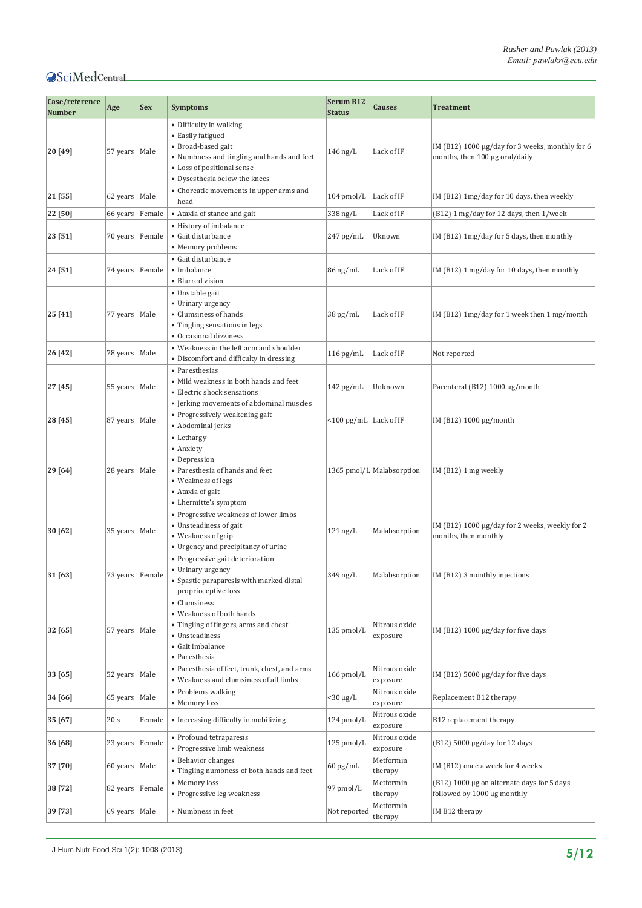| Case/reference<br><b>Number</b> | Age               | <b>Sex</b> | <b>Symptoms</b>                                                                                                                                                                 | Serum B12<br><b>Status</b>                     | <b>Causes</b>             | <b>Treatment</b>                                                                  |
|---------------------------------|-------------------|------------|---------------------------------------------------------------------------------------------------------------------------------------------------------------------------------|------------------------------------------------|---------------------------|-----------------------------------------------------------------------------------|
| 20 [49]                         | 57 years   Male   |            | • Difficulty in walking<br>• Easily fatigued<br>• Broad-based gait<br>• Numbness and tingling and hands and feet<br>• Loss of positional sense<br>• Dysesthesia below the knees | $146$ ng/L                                     | Lack of IF                | IM (B12) 1000 µg/day for 3 weeks, monthly for 6<br>months, then 100 µg oral/daily |
| 21 [55]                         | 62 years   Male   |            | • Choreatic movements in upper arms and<br>head                                                                                                                                 | $104$ pmol/L                                   | Lack of IF                | IM (B12) 1mg/day for 10 days, then weekly                                         |
| 22 [50]                         | 66 years          | Female     | • Ataxia of stance and gait                                                                                                                                                     | $338$ ng/L                                     | Lack of IF                | (B12) 1 mg/day for 12 days, then 1/week                                           |
| 23 [51]                         | 70 years          | Female     | • History of imbalance<br>• Gait disturbance<br>• Memory problems                                                                                                               | $247$ pg/mL                                    | Uknown                    | IM (B12) 1mg/day for 5 days, then monthly                                         |
| 24 [51]                         | 74 years   Female |            | • Gait disturbance<br>• Imbalance<br>• Blurred vision                                                                                                                           | $86$ ng/mL                                     | Lack of IF                | IM (B12) 1 mg/day for 10 days, then monthly                                       |
| 25 [41]                         | 77 years   Male   |            | • Unstable gait<br>• Urinary urgency<br>• Clumsiness of hands<br>• Tingling sensations in legs<br>• Occasional dizziness                                                        | $38 \,\mathrm{pg/mL}$                          | Lack of IF                | IM (B12) $1mg/day$ for 1 week then $1mg/m$ onth                                   |
| 26 [42]                         | 78 years          | Male       | • Weakness in the left arm and shoulder<br>• Discomfort and difficulty in dressing                                                                                              | $116$ pg/mL                                    | Lack of IF                | Not reported                                                                      |
| 27 [45]                         | 55 years   Male   |            | • Paresthesias<br>• Mild weakness in both hands and feet<br>• Electric shock sensations<br>• Jerking movements of abdominal muscles                                             | $142$ pg/mL                                    | Unknown                   | Parenteral (B12) 1000 µg/month                                                    |
| 28 [45]                         | 87 years          | Male       | • Progressively weakening gait<br>• Abdominal jerks                                                                                                                             | $\langle 100 \text{ pg/mL} \rangle$ Lack of IF |                           | IM (B12) 1000 μg/month                                                            |
| 29 [64]                         | 28 years   Male   |            | • Lethargy<br>• Anxiety<br>• Depression<br>• Paresthesia of hands and feet<br>• Weakness of legs<br>• Ataxia of gait<br>• Lhermitte's symptom                                   |                                                | 1365 pmol/L Malabsorption | $IM(B12)1mg$ weekly                                                               |
| 30 [62]                         | 35 years   Male   |            | • Progressive weakness of lower limbs<br>• Unsteadiness of gait<br>• Weakness of grip<br>• Urgency and precipitancy of urine                                                    | $121$ ng/L                                     | Malabsorption             | IM (B12) 1000 µg/day for 2 weeks, weekly for 2<br>months, then monthly            |
| 31 [63]                         | 73 years Female   |            | • Progressive gait deterioration<br>• Urinary urgency<br>• Spastic paraparesis with marked distal<br>proprioceptive loss                                                        | $349$ ng/L                                     |                           | Malabsorption   IM (B12) 3 monthly injections                                     |
| 32 [65]                         | 57 years   Male   |            | • Clumsiness<br>• Weakness of both hands<br>• Tingling of fingers, arms and chest<br>• Unsteadiness<br>• Gait imbalance<br>• Paresthesia                                        | 135 pmol/L                                     | Nitrous oxide<br>exposure | IM (B12) $1000 \mu g/day$ for five days                                           |
| 33 [65]                         | 52 years   Male   |            | • Paresthesia of feet, trunk, chest, and arms<br>• Weakness and clumsiness of all limbs                                                                                         | $166$ pmol/L                                   | Nitrous oxide<br>exposure | IM (B12) 5000 µg/day for five days                                                |
| 34 [66]                         | 65 years   Male   |            | • Problems walking<br>• Memory loss                                                                                                                                             | $<$ 30 $\mu$ g/L                               | Nitrous oxide<br>exposure | Replacement B12 therapy                                                           |
| 35 [67]                         | 20's              | Female     | • Increasing difficulty in mobilizing                                                                                                                                           | 124 pmol/L                                     | Nitrous oxide<br>exposure | B12 replacement therapy                                                           |
| 36 [68]                         | 23 years          | Female     | • Profound tetraparesis<br>• Progressive limb weakness                                                                                                                          | 125 pmol/L                                     | Nitrous oxide<br>exposure | (B12) 5000 μg/day for 12 days                                                     |
| 37 [70]                         | 60 years   Male   |            | • Behavior changes<br>• Tingling numbness of both hands and feet                                                                                                                | $60$ pg/mL                                     | Metformin<br>therapy      | IM (B12) once a week for 4 weeks                                                  |
| 38 [72]                         | 82 years          | Female     | • Memory loss<br>• Progressive leg weakness                                                                                                                                     | 97 pmol/L                                      | Metformin<br>therapy      | (B12) 1000 µg on alternate days for 5 days<br>followed by 1000 µg monthly         |
| 39 [73]                         | 69 years   Male   |            | • Numbness in feet                                                                                                                                                              | Not reported                                   | Metformin<br>therapy      | IM B12 therapy                                                                    |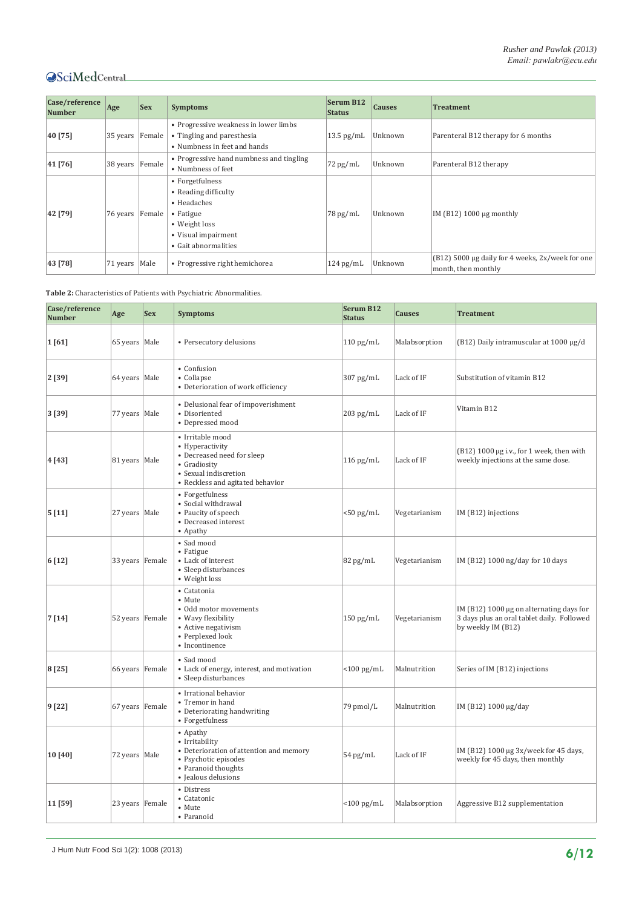| Case/reference<br><b>Number</b> | Age             | <b>Sex</b> | <b>Symptoms</b>                                                                                                                     | Serum B12<br><b>Status</b> | <b>Causes</b> | <b>Treatment</b>                                                        |
|---------------------------------|-----------------|------------|-------------------------------------------------------------------------------------------------------------------------------------|----------------------------|---------------|-------------------------------------------------------------------------|
| 40 [75]                         | 35 years Female |            | • Progressive weakness in lower limbs<br>• Tingling and paresthesia<br>• Numbness in feet and hands                                 | $13.5$ pg/mL               | Unknown       | Parenteral B12 therapy for 6 months                                     |
| 41 [76]                         | 38 years Female |            | • Progressive hand numbness and tingling<br>• Numbness of feet                                                                      | $72$ pg/mL                 | Unknown       | Parenteral B12 therapy                                                  |
| 42 [79]                         | 76 years Female |            | • Forgetfulness<br>• Reading difficulty<br>• Headaches<br>• Fatigue<br>• Weight loss<br>• Visual impairment<br>• Gait abnormalities | $78 \,\mathrm{pg/mL}$      | Unknown       | IM $(B12)$ 1000 µg monthly                                              |
| 43 [78]                         | 71 years   Male |            | • Progressive right hemichorea                                                                                                      | $124$ pg/mL                | Unknown       | (B12) 5000 µg daily for 4 weeks, 2x/week for one<br>month, then monthly |

<span id="page-5-0"></span>**Table 2:** Characteristics of Patients with Psychiatric Abnormalities.

| Case/reference<br><b>Number</b> | Age             | <b>Sex</b> | <b>Symptoms</b>                                                                                                                                        | <b>Serum B12</b><br><b>Status</b> | <b>Causes</b> | <b>Treatment</b>                                                                                             |
|---------------------------------|-----------------|------------|--------------------------------------------------------------------------------------------------------------------------------------------------------|-----------------------------------|---------------|--------------------------------------------------------------------------------------------------------------|
| 1[61]                           | 65 years Male   |            | • Persecutory delusions                                                                                                                                | $110$ pg/mL                       | Malabsorption | (B12) Daily intramuscular at 1000 μg/d                                                                       |
| 2 [39]                          | 64 years Male   |            | • Confusion<br>• Collapse<br>• Deterioration of work efficiency                                                                                        | 307 pg/mL                         | Lack of IF    | Substitution of vitamin B12                                                                                  |
| 3 [39]                          | 77 years   Male |            | • Delusional fear of impoverishment<br>• Disoriented<br>• Depressed mood                                                                               | $203$ pg/mL                       | Lack of IF    | Vitamin B12                                                                                                  |
| 4 [43]                          | 81 years   Male |            | $\bullet$ Irritable mood<br>• Hyperactivity<br>• Decreased need for sleep<br>• Gradiosity<br>• Sexual indiscretion<br>• Reckless and agitated behavior | $116$ pg/mL                       | Lack of IF    | $(B12) 1000 \mu g$ i.v., for 1 week, then with<br>weekly injections at the same dose.                        |
| 5[11]                           | 27 years Male   |            | • Forgetfulness<br>• Social withdrawal<br>• Paucity of speech<br>• Decreased interest<br>• Apathy                                                      | $<$ 50 pg/mL                      | Vegetarianism | IM (B12) injections                                                                                          |
| 6 [12]                          | 33 years Female |            | · Sad mood<br>• Fatigue<br>• Lack of interest<br>• Sleep disturbances<br>• Weight loss                                                                 | 82 pg/mL                          | Vegetarianism | IM (B12) 1000 ng/day for 10 days                                                                             |
| 7 [14]                          | 52 years Female |            | • Catatonia<br>• Mute<br>• Odd motor movements<br>• Wavy flexibility<br>• Active negativism<br>• Perplexed look<br>• Incontinence                      | $150$ pg/mL                       | Vegetarianism | IM (B12) 1000 µg on alternating days for<br>3 days plus an oral tablet daily. Followed<br>by weekly IM (B12) |
| 8 [25]                          | 66 years Female |            | • Sad mood<br>• Lack of energy, interest, and motivation<br>• Sleep disturbances                                                                       | $<$ 100 pg/mL                     | Malnutrition  | Series of IM (B12) injections                                                                                |
| 9 [22]                          | 67 years Female |            | • Irrational behavior<br>• Tremor in hand<br>• Deteriorating handwriting<br>• Forgetfulness                                                            | 79 pmol/L                         | Malnutrition  | IM (B12) 1000 µg/day                                                                                         |
| 10 [40]                         | 72 years Male   |            | • Apathy<br>• Irritability<br>• Deterioration of attention and memory<br>• Psychotic episodes<br>• Paranoid thoughts<br>· Jealous delusions            | 54 pg/mL                          | Lack of IF    | IM (B12) 1000 µg 3x/week for 45 days,<br>weekly for 45 days, then monthly                                    |
| 11 [59]                         | 23 years Female |            | • Distress<br>• Catatonic<br>• Mute<br>• Paranoid                                                                                                      | $<$ 100 pg/mL                     | Malabsorption | Aggressive B12 supplementation                                                                               |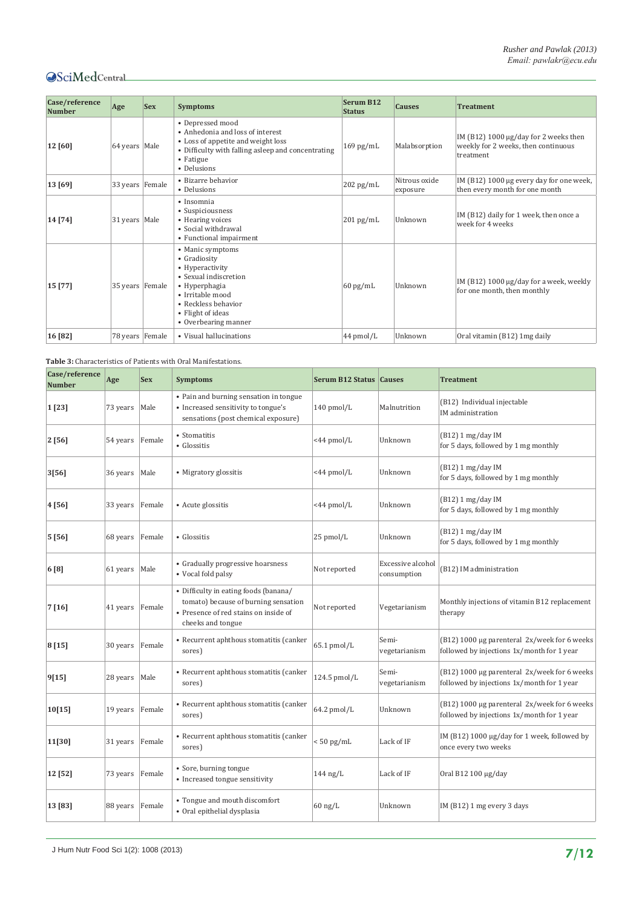| Case/reference<br><b>Number</b> | Age             | <b>Sex</b> | <b>Symptoms</b>                                                                                                                                                                       | Serum B12<br><b>Status</b> | <b>Causes</b>             | <b>Treatment</b>                                                                               |
|---------------------------------|-----------------|------------|---------------------------------------------------------------------------------------------------------------------------------------------------------------------------------------|----------------------------|---------------------------|------------------------------------------------------------------------------------------------|
| 12 [60]                         | 64 years   Male |            | • Depressed mood<br>• Anhedonia and loss of interest<br>• Loss of appetite and weight loss<br>• Difficulty with falling asleep and concentrating<br>• Fatigue<br>• Delusions          | $169$ pg/mL                | Malabsorption             | IM (B12) 1000 $\mu$ g/day for 2 weeks then<br>weekly for 2 weeks, then continuous<br>treatment |
| 13 [69]                         | 33 years Female |            | • Bizarre behavior<br>• Delusions                                                                                                                                                     | $202$ pg/mL                | Nitrous oxide<br>exposure | IM (B12) 1000 µg every day for one week,<br>then every month for one month                     |
| 14 [74]                         | 31 years   Male |            | · Insomnia<br>• Suspiciousness<br>• Hearing voices<br>• Social withdrawal<br>• Functional impairment                                                                                  | $201 \text{ pg/mL}$        | Unknown                   | IM (B12) daily for 1 week, then once a<br>week for 4 weeks                                     |
| 15 [77]                         | 35 years Female |            | • Manic symptoms<br>• Gradiosity<br>• Hyperactivity<br>• Sexual indiscretion<br>• Hyperphagia<br>• Irritable mood<br>• Reckless behavior<br>• Flight of ideas<br>• Overbearing manner | $60$ pg/mL                 | Unknown                   | IM (B12) 1000 $\mu$ g/day for a week, weekly<br>for one month, then monthly                    |
| 16 [82]                         | 78 years Female |            | • Visual hallucinations                                                                                                                                                               | 44 pmol/L                  | Unknown                   | Oral vitamin (B12) 1mg daily                                                                   |

<span id="page-6-0"></span>**Table 3:** Characteristics of Patients with Oral Manifestations.

| Case/reference<br><b>Number</b> | Age      | <b>Sex</b> | <b>Symptoms</b>                                                                                                                             | Serum B12 Status Causes |                                  | <b>Treatment</b>                                                                           |
|---------------------------------|----------|------------|---------------------------------------------------------------------------------------------------------------------------------------------|-------------------------|----------------------------------|--------------------------------------------------------------------------------------------|
| 1 [23]                          | 73 years | Male       | • Pain and burning sensation in tongue<br>• Increased sensitivity to tongue's<br>sensations (post chemical exposure)                        | $140$ pmol/L            | Malnutrition                     | (B12) Individual injectable<br>IM administration                                           |
| 2 [56]                          | 54 years | Female     | • Stomatitis<br>• Glossitis                                                                                                                 | <44 pmol/L              | Unknown                          | $(B12)$ 1 mg/day IM<br>for 5 days, followed by 1 mg monthly                                |
| 3[56]                           | 36 years | Male       | • Migratory glossitis                                                                                                                       | <44 pmol/L              | Unknown                          | $(B12)$ 1 mg/day IM<br>for 5 days, followed by 1 mg monthly                                |
| 4 [56]                          | 33 years | Female     | • Acute glossitis                                                                                                                           | <44 pmol/L              | Unknown                          | $(B12) 1 mg/day$ IM<br>for 5 days, followed by 1 mg monthly                                |
| 5 [56]                          | 68 years | Female     | • Glossitis                                                                                                                                 | 25 pmol/L               | Unknown                          | (B12) 1 mg/day IM<br>for 5 days, followed by 1 mg monthly                                  |
| 6 [8]                           | 61 years | Male       | • Gradually progressive hoarsness<br>• Vocal fold palsy                                                                                     | Not reported            | Excessive alcohol<br>consumption | (B12) IM administration                                                                    |
| 7[16]                           | 41 years | Female     | • Difficulty in eating foods (banana/<br>tomato) because of burning sensation<br>• Presence of red stains on inside of<br>cheeks and tongue | Not reported            | Vegetarianism                    | Monthly injections of vitamin B12 replacement<br>therapy                                   |
| 8 [15]                          | 30 years | Female     | • Recurrent aphthous stomatitis (canker<br>sores)                                                                                           | $65.1$ pmol/L           | Semi-<br>vegetarianism           | (B12) 1000 µg parenteral 2x/week for 6 weeks<br>followed by injections 1x/month for 1 year |
| 9[15]                           | 28 years | Male       | • Recurrent aphthous stomatitis (canker<br>sores)                                                                                           | 124.5 pmol/L            | Semi-<br>vegetarianism           | (B12) 1000 µg parenteral 2x/week for 6 weeks<br>followed by injections 1x/month for 1 year |
| 10[15]                          | 19 years | Female     | • Recurrent aphthous stomatitis (canker<br>sores)                                                                                           | 64.2 pmol/L             | Unknown                          | (B12) 1000 µg parenteral 2x/week for 6 weeks<br>followed by injections 1x/month for 1 year |
| 11[30]                          | 31 years | Female     | • Recurrent aphthous stomatitis (canker<br>sores)                                                                                           | $< 50$ pg/mL            | Lack of IF                       | IM (B12) 1000 µg/day for 1 week, followed by<br>once every two weeks                       |
| 12 [52]                         | 73 years | Female     | • Sore, burning tongue<br>• Increased tongue sensitivity                                                                                    | $144$ ng/L              | Lack of IF                       | Oral B12 100 µg/day                                                                        |
| 13 [83]                         | 88 years | Female     | • Tongue and mouth discomfort<br>· Oral epithelial dysplasia                                                                                | $60$ ng/L               | Unknown                          | IM (B12) 1 mg every 3 days                                                                 |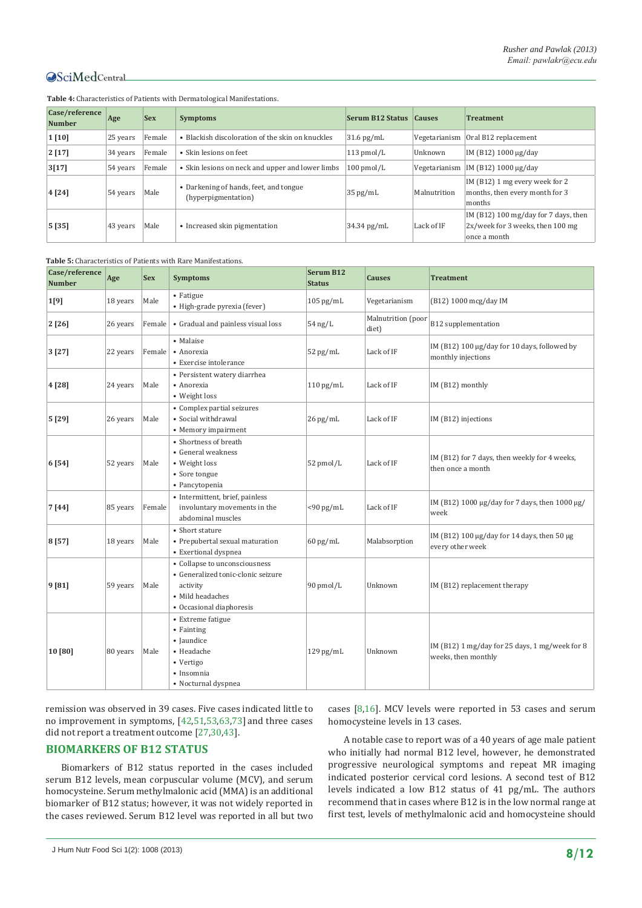| Case/reference<br><b>Number</b> | Age      | <b>Sex</b> | <b>Symptoms</b>                                               | Serum B12 Status | <b>Causes</b> | <b>Treatment</b>                                                                         |
|---------------------------------|----------|------------|---------------------------------------------------------------|------------------|---------------|------------------------------------------------------------------------------------------|
| $1$ [10]                        | 25 years | Female     | • Blackish discoloration of the skin on knuckles              | $31.6$ pg/mL     | Vegetarianism | Oral B12 replacement                                                                     |
| 2[17]                           | 34 years | Female     | • Skin lesions on feet                                        | $113$ pmol/L     | Unknown       | IM (B12) 1000 µg/day                                                                     |
| 3[17]                           | 54 years | Female     | • Skin lesions on neck and upper and lower limbs              | $100$ pmol/L     |               | Vegetarianism   IM (B12) 1000 $\mu$ g/day                                                |
| 4 [24]                          | 54 years | Male       | • Darkening of hands, feet, and tongue<br>(hyperpigmentation) | $35$ pg/mL       | Malnutrition  | IM (B12) 1 mg every week for 2<br>months, then every month for 3<br>months               |
| 5[35]                           | 43 years | Male       | • Increased skin pigmentation                                 | $34.34$ pg/mL    | Lack of IF    | IM (B12) 100 mg/day for 7 days, then<br>2x/week for 3 weeks, then 100 mg<br>once a month |

<span id="page-7-0"></span>**Table 4:** Characteristics of Patients with Dermatological Manifestations.

<span id="page-7-1"></span>**Table 5:** Characteristics of Patients with Rare Manifestations.

| Case/reference<br><b>Number</b> | Age      | <b>Sex</b> | <b>Symptoms</b>                                                                                                                 | Serum B12<br><b>Status</b> | <b>Causes</b>               | <b>Treatment</b>                                                          |
|---------------------------------|----------|------------|---------------------------------------------------------------------------------------------------------------------------------|----------------------------|-----------------------------|---------------------------------------------------------------------------|
| 1[9]                            | 18 years | Male       | • Fatigue<br>· High-grade pyrexia (fever)                                                                                       | $105$ pg/mL                | Vegetarianism               | (B12) 1000 mcg/day IM                                                     |
| 2[26]                           | 26 years | Female     | • Gradual and painless visual loss                                                                                              | $54$ ng/L                  | Malnutrition (poor<br>diet) | B12 supplementation                                                       |
| 3[27]                           | 22 years | Female     | • Malaise<br>• Anorexia<br>• Exercise intolerance                                                                               | $52$ pg/mL                 | Lack of IF                  | IM (B12) 100 µg/day for 10 days, followed by<br>monthly injections        |
| 4 [28]                          | 24 years | Male       | • Persistent watery diarrhea<br>• Anorexia<br>• Weight loss                                                                     | $110$ pg/mL                | Lack of IF                  | IM (B12) monthly                                                          |
| 5 [29]                          | 26 years | Male       | • Complex partial seizures<br>• Social withdrawal<br>• Memory impairment                                                        | $26$ pg/mL                 | Lack of IF                  | IM (B12) injections                                                       |
| 6 [54]                          | 52 years | Male       | • Shortness of breath<br>• General weakness<br>• Weight loss<br>• Sore tongue<br>• Pancytopenia                                 | 52 pmol/L                  | Lack of IF                  | IM (B12) for 7 days, then weekly for 4 weeks,<br>then once a month        |
| 7 [44]                          | 85 years | Female     | • Intermittent, brief, painless<br>involuntary movements in the<br>abdominal muscles                                            | $<$ 90 pg/mL               | Lack of IF                  | IM (B12) 1000 μg/day for 7 days, then 1000 μg/<br>week                    |
| 8 [57]                          | 18 years | Male       | • Short stature<br>• Prepubertal sexual maturation<br>• Exertional dyspnea                                                      | $60$ pg/mL                 | Malabsorption               | IM (B12) 100 $\mu$ g/day for 14 days, then 50 $\mu$ g<br>every other week |
| 9 [81]                          | 59 years | Male       | • Collapse to unconsciousness<br>• Generalized tonic-clonic seizure<br>activity<br>• Mild headaches<br>• Occasional diaphoresis | 90 pmol/L                  | Unknown                     | IM (B12) replacement therapy                                              |
| 10 [80]                         | 80 years | Male       | • Extreme fatigue<br>• Fainting<br>· Jaundice<br>• Headache<br>• Vertigo<br>· Insomnia<br>• Nocturnal dyspnea                   | $129$ pg/mL                | Unknown                     | IM (B12) 1 mg/day for 25 days, 1 mg/week for 8<br>weeks, then monthly     |

remission was observed in 39 cases. Five cases indicated little to no improvement in symptoms, [[42](#page-10-27),[51](#page-10-32),[53](#page-10-17),[63](#page-11-8)[,73](#page-11-17)] and three cases did not report a treatment outcome [[27,](#page-10-13)[30,](#page-10-37)[43\]](#page-10-25).

#### **BIOMARKERS OF B12 STATUS**

Biomarkers of B12 status reported in the cases included serum B12 levels, mean corpuscular volume (MCV), and serum homocysteine. Serum methylmalonic acid (MMA) is an additional biomarker of B12 status; however, it was not widely reported in the cases reviewed. Serum B12 level was reported in all but two

cases [[8,](#page-9-7)[16](#page-10-5)]. MCV levels were reported in 53 cases and serum homocysteine levels in 13 cases.

A notable case to report was of a 40 years of age male patient who initially had normal B12 level, however, he demonstrated progressive neurological symptoms and repeat MR imaging indicated posterior cervical cord lesions. A second test of B12 levels indicated a low B12 status of 41 pg/mL. The authors recommend that in cases where B12 is in the low normal range at first test, levels of methylmalonic acid and homocysteine should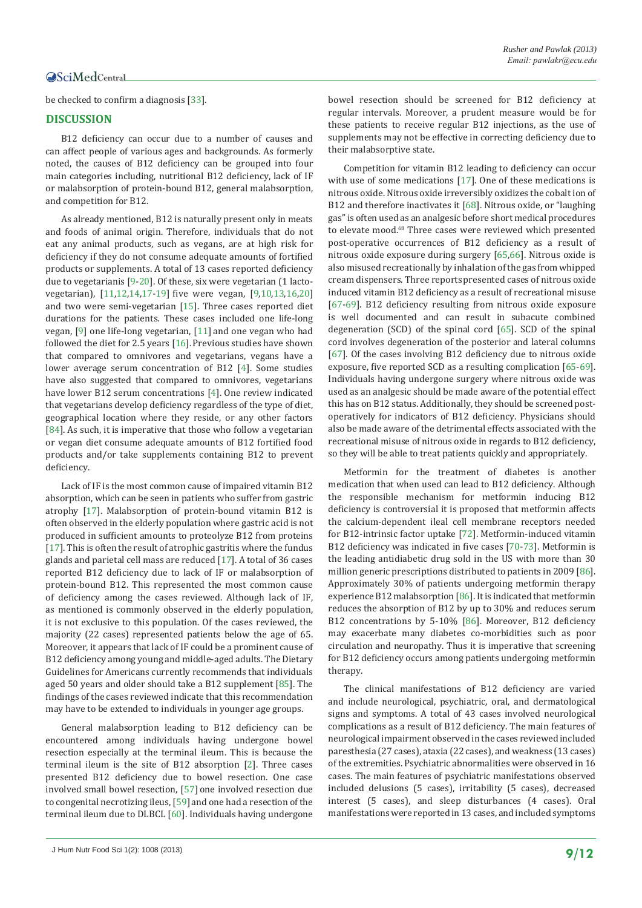be checked to confirm a diagnosis [[33](#page-10-30)].

#### **DISCUSSION**

B12 deficiency can occur due to a number of causes and can affect people of various ages and backgrounds. As formerly noted, the causes of B12 deficiency can be grouped into four main categories including, nutritional B12 deficiency, lack of IF or malabsorption of protein-bound B12, general malabsorption, and competition for B12.

As already mentioned, B12 is naturally present only in meats and foods of animal origin. Therefore, individuals that do not eat any animal products, such as vegans, are at high risk for deficiency if they do not consume adequate amounts of fortified products or supplements. A total of 13 cases reported deficiency due to vegetarianis [\[9](#page-9-8)[-20](#page-10-0)]. Of these, six were vegetarian (1 lactovegetarian), [[11](#page-9-11),[12](#page-9-12),[14](#page-10-1),[17-](#page-10-6)[19](#page-10-4)] five were vegan, [\[9](#page-9-8)[,10,](#page-9-9)[13](#page-9-10),[16](#page-10-5)[,20](#page-10-0)] and two were semi-vegetarian [[15](#page-10-2)]. Three cases reported diet durations for the patients. These cases included one life-long vegan, [[9\]](#page-9-8) one life-long vegetarian, [[11](#page-9-11)] and one vegan who had followed the diet for 2.5 years [[16\]](#page-10-5). Previous studies have shown that compared to omnivores and vegetarians, vegans have a lower average serum concentration of B12 [[4](#page-9-3)]. Some studies have also suggested that compared to omnivores, vegetarians have lower B12 serum concentrations [[4](#page-9-3)]. One review indicated that vegetarians develop deficiency regardless of the type of diet, geographical location where they reside, or any other factors [[84\]](#page-11-30). As such, it is imperative that those who follow a vegetarian or vegan diet consume adequate amounts of B12 fortified food products and/or take supplements containing B12 to prevent deficiency.

Lack of IF is the most common cause of impaired vitamin B12 absorption, which can be seen in patients who suffer from gastric atrophy [\[17](#page-10-6)]. Malabsorption of protein-bound vitamin B12 is often observed in the elderly population where gastric acid is not produced in sufficient amounts to proteolyze B12 from proteins [[17\]](#page-10-6). This is often the result of atrophic gastritis where the fundus glands and parietal cell mass are reduced [[17\]](#page-10-6). A total of 36 cases reported B12 deficiency due to lack of IF or malabsorption of protein-bound B12. This represented the most common cause of deficiency among the cases reviewed. Although lack of IF, as mentioned is commonly observed in the elderly population, it is not exclusive to this population. Of the cases reviewed, the majority (22 cases) represented patients below the age of 65. Moreover, it appears that lack of IF could be a prominent cause of B12 deficiency among young and middle-aged adults. The Dietary Guidelines for Americans currently recommends that individuals aged 50 years and older should take a B12 supplement [[85\]](#page-11-31). The findings of the cases reviewed indicate that this recommendation may have to be extended to individuals in younger age groups.

General malabsorption leading to B12 deficiency can be encountered among individuals having undergone bowel resection especially at the terminal ileum. This is because the terminal ileum is the site of B12 absorption [[2](#page-9-1)]. Three cases presented B12 deficiency due to bowel resection. One case involved small bowel resection, [[57](#page-11-3)] one involved resection due to congenital necrotizing ileus, [[59](#page-11-7)] and one had a resection of the terminal ileum due to DLBCL [[60\]](#page-11-9). Individuals having undergone bowel resection should be screened for B12 deficiency at regular intervals. Moreover, a prudent measure would be for these patients to receive regular B12 injections, as the use of supplements may not be effective in correcting deficiency due to their malabsorptive state.

Competition for vitamin B12 leading to deficiency can occur with use of some medications [\[17](#page-10-6)]. One of these medications is nitrous oxide. Nitrous oxide irreversibly oxidizes the cobalt ion of B12 and therefore inactivates it [\[68](#page-11-15)]. Nitrous oxide, or "laughing gas" is often used as an analgesic before short medical procedures to elevate mood.<sup>68</sup> Three cases were reviewed which presented post-operative occurrences of B12 deficiency as a result of nitrous oxide exposure during surgery [[65](#page-11-11),[66](#page-11-12)]. Nitrous oxide is also misused recreationally by inhalation of the gas from whipped cream dispensers. Three reportspresented cases of nitrous oxide induced vitamin B12 deficiency as a result of recreational misuse [[67-](#page-11-13)[69\]](#page-11-14). B12 deficiency resulting from nitrous oxide exposure is well documented and can result in subacute combined degeneration (SCD) of the spinal cord [[65](#page-11-11)]. SCD of the spinal cord involves degeneration of the posterior and lateral columns [[67\]](#page-11-13). Of the cases involving B12 deficiency due to nitrous oxide exposure, five reported SCD as a resulting complication [[65](#page-11-11)-[69](#page-11-14)]. Individuals having undergone surgery where nitrous oxide was used as an analgesic should be made aware of the potential effect this has on B12 status. Additionally, they should be screened postoperatively for indicators of B12 deficiency. Physicians should also be made aware of the detrimental effects associated with the recreational misuse of nitrous oxide in regards to B12 deficiency, so they will be able to treat patients quickly and appropriately.

Metformin for the treatment of diabetes is another medication that when used can lead to B12 deficiency. Although the responsible mechanism for metformin inducing B12 deficiency is controversial it is proposed that metformin affects the calcium-dependent ileal cell membrane receptors needed for B12-intrinsic factor uptake [[72\]](#page-11-18). Metformin-induced vitamin B12 deficiency was indicated in five cases [[70-](#page-11-16)[73\]](#page-11-17). Metformin is the leading antidiabetic drug sold in the US with more than 30 million generic prescriptions distributed to patients in 2009 [[86](#page-11-32)]. Approximately 30% of patients undergoing metformin therapy experience B12 malabsorption [\[86\]](#page-11-32). It is indicated that metformin reduces the absorption of B12 by up to 30% and reduces serum B12 concentrations by 5-10% [\[86\]](#page-11-32). Moreover, B12 deficiency may exacerbate many diabetes co-morbidities such as poor circulation and neuropathy. Thus it is imperative that screening for B12 deficiency occurs among patients undergoing metformin therapy.

The clinical manifestations of B12 deficiency are varied and include neurological, psychiatric, oral, and dermatological signs and symptoms. A total of 43 cases involved neurological complications as a result of B12 deficiency. The main features of neurological impairment observed in the cases reviewed included paresthesia (27 cases), ataxia (22 cases), and weakness (13 cases) of the extremities. Psychiatric abnormalities were observed in 16 cases. The main features of psychiatric manifestations observed included delusions (5 cases), irritability (5 cases), decreased interest (5 cases), and sleep disturbances (4 cases). Oral manifestations were reported in 13 cases, and included symptoms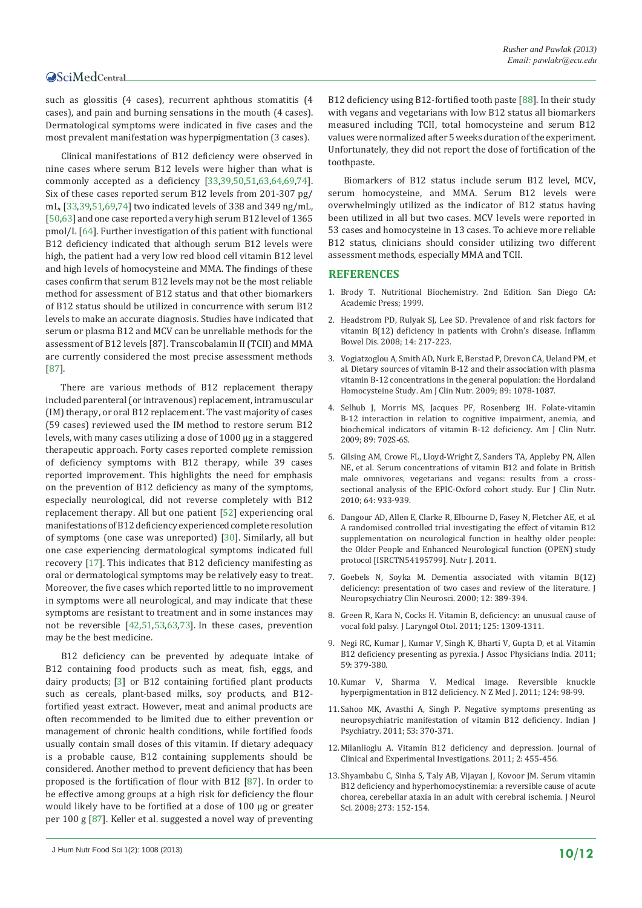such as glossitis (4 cases), recurrent aphthous stomatitis (4 cases), and pain and burning sensations in the mouth (4 cases). Dermatological symptoms were indicated in five cases and the most prevalent manifestation was hyperpigmentation (3 cases).

Clinical manifestations of B12 deficiency were observed in nine cases where serum B12 levels were higher than what is commonly accepted as a deficiency [[33](#page-10-30),[39,](#page-10-23)[50](#page-10-31),[51](#page-10-32),[63](#page-11-8),[64](#page-11-4),[69,](#page-11-14)[74](#page-11-20)]. Six of these cases reported serum B12 levels from 201-307 pg/ mL, [[33](#page-10-30),[39,](#page-10-23)[51](#page-10-32)[,69](#page-11-14)[,74](#page-11-20)] two indicated levels of 338 and 349 ng/mL, [[50,](#page-10-31)[63](#page-11-8)] and one case reported a very high serum B12 level of 1365 pmol/L [[64](#page-11-4)]. Further investigation of this patient with functional B12 deficiency indicated that although serum B12 levels were high, the patient had a very low red blood cell vitamin B12 level and high levels of homocysteine and MMA. The findings of these cases confirm that serum B12 levels may not be the most reliable method for assessment of B12 status and that other biomarkers of B12 status should be utilized in concurrence with serum B12 levels to make an accurate diagnosis. Studies have indicated that serum or plasma B12 and MCV can be unreliable methods for the assessment of B12 levels [87]. Transcobalamin II (TCII) and MMA are currently considered the most precise assessment methods [[87](#page-11-33)].

There are various methods of B12 replacement therapy included parenteral (or intravenous) replacement, intramuscular (IM) therapy, or oral B12 replacement. The vast majority of cases (59 cases) reviewed used the IM method to restore serum B12 levels, with many cases utilizing a dose of 1000 µg in a staggered therapeutic approach. Forty cases reported complete remission of deficiency symptoms with B12 therapy, while 39 cases reported improvement. This highlights the need for emphasis on the prevention of B12 deficiency as many of the symptoms, especially neurological, did not reverse completely with B12 replacement therapy. All but one patient [[52](#page-10-16)] experiencing oral manifestations of B12 deficiency experienced complete resolution of symptoms (one case was unreported) [\[30](#page-10-37)]. Similarly, all but one case experiencing dermatological symptoms indicated full recovery [\[17](#page-10-6)]. This indicates that B12 deficiency manifesting as oral or dermatological symptoms may be relatively easy to treat. Moreover, the five cases which reported little to no improvement in symptoms were all neurological, and may indicate that these symptoms are resistant to treatment and in some instances may not be reversible [[42](#page-10-27),[51](#page-10-32),[53](#page-10-17),[63](#page-11-8),[73](#page-11-17)]. In these cases, prevention may be the best medicine.

B12 deficiency can be prevented by adequate intake of B12 containing food products such as meat, fish, eggs, and dairy products; [[3](#page-9-2)] or B12 containing fortified plant products such as cereals, plant-based milks, soy products, and B12 fortified yeast extract. However, meat and animal products are often recommended to be limited due to either prevention or management of chronic health conditions, while fortified foods usually contain small doses of this vitamin. If dietary adequacy is a probable cause, B12 containing supplements should be considered. Another method to prevent deficiency that has been proposed is the fortification of flour with B12 [\[87](#page-11-33)]. In order to be effective among groups at a high risk for deficiency the flour would likely have to be fortified at a dose of 100 µg or greater per 100 g [\[87](#page-11-33)]. Keller et al. suggested a novel way of preventing

B12 deficiency using B12-fortified tooth paste [[88\]](#page-11-34). In their study with vegans and vegetarians with low B12 status all biomarkers measured including TCII, total homocysteine and serum B12 values were normalized after 5 weeks duration of the experiment. Unfortunately, they did not report the dose of fortification of the toothpaste.

Biomarkers of B12 status include serum B12 level, MCV, serum homocysteine, and MMA. Serum B12 levels were overwhelmingly utilized as the indicator of B12 status having been utilized in all but two cases. MCV levels were reported in 53 cases and homocysteine in 13 cases. To achieve more reliable B12 status, clinicians should consider utilizing two different assessment methods, especially MMA and TCII.

#### **REFERENCES**

- <span id="page-9-0"></span>1. Brody T. Nutritional Biochemistry. 2nd Edition. San Diego CA: Academic Press; 1999.
- <span id="page-9-1"></span>2. [Headstrom PD, Rulyak SJ, Lee SD. Prevalence of and risk factors for](http://www.ncbi.nlm.nih.gov/pubmed/17886286)  [vitamin B\(12\) deficiency in patients with Crohn's disease. Inflamm](http://www.ncbi.nlm.nih.gov/pubmed/17886286)  [Bowel Dis. 2008; 14: 217-223.](http://www.ncbi.nlm.nih.gov/pubmed/17886286)
- <span id="page-9-2"></span>3. [Vogiatzoglou A, Smith AD, Nurk E, Berstad P, Drevon CA, Ueland PM, et](http://www.ncbi.nlm.nih.gov/pubmed/19190073)  [al. Dietary sources of vitamin B-12 and their association with plasma](http://www.ncbi.nlm.nih.gov/pubmed/19190073)  [vitamin B-12 concentrations in the general population: the Hordaland](http://www.ncbi.nlm.nih.gov/pubmed/19190073)  [Homocysteine Study. Am J Clin Nutr. 2009; 89: 1078-1087.](http://www.ncbi.nlm.nih.gov/pubmed/19190073)
- <span id="page-9-3"></span>4. [Selhub J, Morris MS, Jacques PF, Rosenberg IH. Folate-vitamin](http://www.ncbi.nlm.nih.gov/pubmed/19141696)  [B-12 interaction in relation to cognitive impairment, anemia, and](http://www.ncbi.nlm.nih.gov/pubmed/19141696)  [biochemical indicators of vitamin B-12 deficiency. Am J Clin Nutr.](http://www.ncbi.nlm.nih.gov/pubmed/19141696)  [2009; 89: 702S-6S.](http://www.ncbi.nlm.nih.gov/pubmed/19141696)
- <span id="page-9-4"></span>5. [Gilsing AM, Crowe FL, Lloyd-Wright Z, Sanders TA, Appleby PN, Allen](http://www.ncbi.nlm.nih.gov/pubmed/20648045)  [NE, et al. Serum concentrations of vitamin B12 and folate in British](http://www.ncbi.nlm.nih.gov/pubmed/20648045)  [male omnivores, vegetarians and vegans: results from a cross](http://www.ncbi.nlm.nih.gov/pubmed/20648045)[sectional analysis of the EPIC-Oxford cohort study. Eur J Clin Nutr.](http://www.ncbi.nlm.nih.gov/pubmed/20648045)  [2010; 64: 933-939.](http://www.ncbi.nlm.nih.gov/pubmed/20648045)
- <span id="page-9-5"></span>6. [Dangour AD, Allen E, Clarke R, Elbourne D, Fasey N, Fletcher AE, et al.](http://www.ncbi.nlm.nih.gov/pubmed/21396086)  [A randomised controlled trial investigating the effect of vitamin B12](http://www.ncbi.nlm.nih.gov/pubmed/21396086)  [supplementation on neurological function in healthy older people:](http://www.ncbi.nlm.nih.gov/pubmed/21396086)  [the Older People and Enhanced Neurological function \(OPEN\) study](http://www.ncbi.nlm.nih.gov/pubmed/21396086)  [protocol \[ISRCTN54195799\]. Nutr J. 2011.](http://www.ncbi.nlm.nih.gov/pubmed/21396086)
- <span id="page-9-6"></span>7. [Goebels N, Soyka M. Dementia associated with vitamin B\(12\)](http://www.ncbi.nlm.nih.gov/pubmed/10956574)  deficiency: presentation of two cases and review of the literature.  $\overline{I}$ [Neuropsychiatry Clin Neurosci. 2000; 12: 389-394.](http://www.ncbi.nlm.nih.gov/pubmed/10956574)
- <span id="page-9-7"></span>8. Green R, Kara N, Cocks H. Vitamin B, deficiency: an unusual cause of [vocal fold palsy. J Laryngol Otol. 2011; 125: 1309-1311.](http://www.ncbi.nlm.nih.gov/pubmed/21791159)
- <span id="page-9-8"></span>9. [Negi RC, Kumar J, Kumar V, Singh K, Bharti V, Gupta D, et al. Vitamin](http://www.ncbi.nlm.nih.gov/pubmed/21751594)  [B12 deficiency presenting as pyrexia. J Assoc Physicians India. 2011;](http://www.ncbi.nlm.nih.gov/pubmed/21751594)  [59: 379-380.](http://www.ncbi.nlm.nih.gov/pubmed/21751594)
- <span id="page-9-9"></span>10.[Kumar V, Sharma V. Medical image. Reversible knuckle](http://www.ncbi.nlm.nih.gov/pubmed/21963931)  [hyperpigmentation in B12 deficiency. N Z Med J. 2011; 124: 98-99.](http://www.ncbi.nlm.nih.gov/pubmed/21963931)
- <span id="page-9-11"></span>11.[Sahoo MK, Avasthi A, Singh P. Negative symptoms presenting as](http://www.ncbi.nlm.nih.gov/pubmed/22303049)  [neuropsychiatric manifestation of vitamin B12 deficiency. Indian J](http://www.ncbi.nlm.nih.gov/pubmed/22303049)  [Psychiatry. 2011; 53: 370-371.](http://www.ncbi.nlm.nih.gov/pubmed/22303049)
- <span id="page-9-12"></span>12.[Milanlioglu A. Vitamin B12 deficiency and depression. Journal of](http://www.jceionline.org/upload/sayi/7/JCEI-00499.pdf)  [Clinical and Experimental Investigations. 2011; 2: 455-456.](http://www.jceionline.org/upload/sayi/7/JCEI-00499.pdf)
- <span id="page-9-10"></span>13.[Shyambabu C, Sinha S, Taly AB, Vijayan J, Kovoor JM. Serum vitamin](http://www.ncbi.nlm.nih.gov/pubmed/18678379)  [B12 deficiency and hyperhomocystinemia: a reversible cause of acute](http://www.ncbi.nlm.nih.gov/pubmed/18678379)  [chorea, cerebellar ataxia in an adult with cerebral ischemia. J Neurol](http://www.ncbi.nlm.nih.gov/pubmed/18678379)  [Sci. 2008; 273: 152-154.](http://www.ncbi.nlm.nih.gov/pubmed/18678379)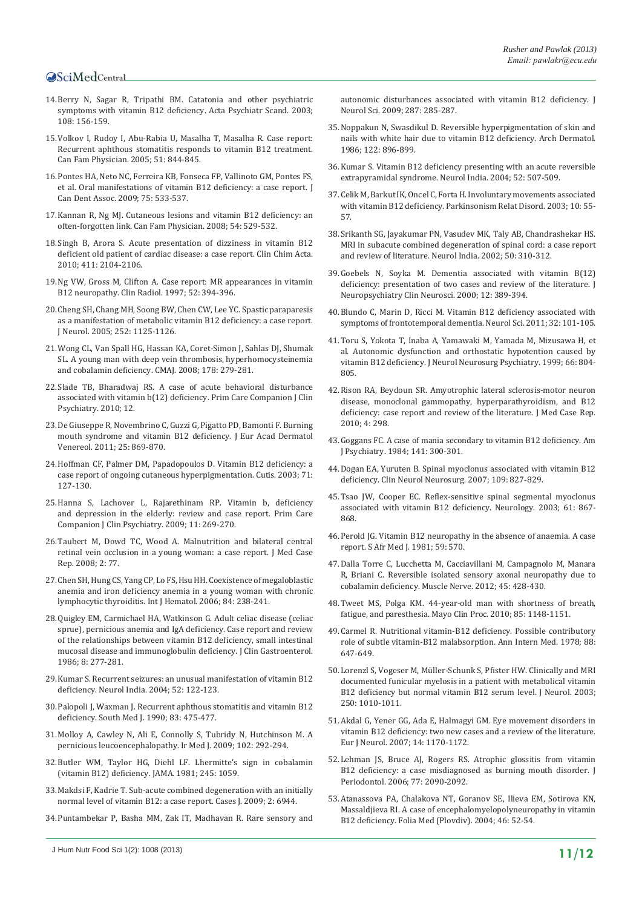- <span id="page-10-1"></span>14.[Berry N, Sagar R, Tripathi BM. Catatonia and other psychiatric](http://www.ncbi.nlm.nih.gov/pubmed/12823174)  [symptoms with vitamin B12 deficiency. Acta Psychiatr Scand. 2003;](http://www.ncbi.nlm.nih.gov/pubmed/12823174)  [108: 156-159.](http://www.ncbi.nlm.nih.gov/pubmed/12823174)
- <span id="page-10-2"></span>15.[Volkov I, Rudoy I, Abu-Rabia U, Masalha T, Masalha R. Case report:](http://www.ncbi.nlm.nih.gov/pubmed/15986941)  [Recurrent aphthous stomatitis responds to vitamin B12 treatment.](http://www.ncbi.nlm.nih.gov/pubmed/15986941)  [Can Fam Physician. 2005; 51: 844-845.](http://www.ncbi.nlm.nih.gov/pubmed/15986941)
- <span id="page-10-5"></span>16.[Pontes HA, Neto NC, Ferreira KB, Fonseca FP, Vallinoto GM, Pontes FS,](http://www.ncbi.nlm.nih.gov/pubmed/19744365)  [et al. Oral manifestations of vitamin B12 deficiency: a case report. J](http://www.ncbi.nlm.nih.gov/pubmed/19744365)  [Can Dent Assoc. 2009; 75: 533-537.](http://www.ncbi.nlm.nih.gov/pubmed/19744365)
- <span id="page-10-6"></span>17.[Kannan R, Ng MJ. Cutaneous lesions and vitamin B12 deficiency: an](http://www.ncbi.nlm.nih.gov/pubmed/18413300)  [often-forgotten link. Can Fam Physician. 2008; 54: 529-532.](http://www.ncbi.nlm.nih.gov/pubmed/18413300)
- <span id="page-10-3"></span>18.[Singh B, Arora S. Acute presentation of dizziness in vitamin B12](http://www.ncbi.nlm.nih.gov/pubmed/20736002)  [deficient old patient of cardiac disease: a case report. Clin Chim Acta.](http://www.ncbi.nlm.nih.gov/pubmed/20736002)  [2010; 411: 2104-2106.](http://www.ncbi.nlm.nih.gov/pubmed/20736002)
- <span id="page-10-4"></span>19.[Ng VW, Gross M, Clifton A. Case report: MR appearances in vitamin](http://www.ncbi.nlm.nih.gov/pubmed/9171797)  [B12 neuropathy. Clin Radiol. 1997; 52: 394-396.](http://www.ncbi.nlm.nih.gov/pubmed/9171797)
- <span id="page-10-0"></span>20.[Cheng SH, Chang MH, Soong BW, Chen CW, Lee YC. Spastic paraparesis](http://www.ncbi.nlm.nih.gov/pubmed/15789129)  [as a manifestation of metabolic vitamin B12 deficiency: a case report.](http://www.ncbi.nlm.nih.gov/pubmed/15789129)  [J Neurol. 2005; 252: 1125-1126.](http://www.ncbi.nlm.nih.gov/pubmed/15789129)
- <span id="page-10-7"></span>21.[Wong CL, Van Spall HG, Hassan KA, Coret-Simon J, Sahlas DJ, Shumak](http://www.ncbi.nlm.nih.gov/pubmed/18227444)  [SL. A young man with deep vein thrombosis, hyperhomocysteinemia](http://www.ncbi.nlm.nih.gov/pubmed/18227444)  [and cobalamin deficiency. CMAJ. 2008; 178: 279-281.](http://www.ncbi.nlm.nih.gov/pubmed/18227444)
- <span id="page-10-12"></span>22.[Slade TB, Bharadwaj RS. A case of acute behavioral disturbance](http://www.ncbi.nlm.nih.gov/pubmed/21494346)  [associated with vitamin b\(12\) deficiency. Prim Care Companion J Clin](http://www.ncbi.nlm.nih.gov/pubmed/21494346)  [Psychiatry. 2010; 12.](http://www.ncbi.nlm.nih.gov/pubmed/21494346)
- <span id="page-10-9"></span>23.[De Giuseppe R, Novembrino C, Guzzi G, Pigatto PD, Bamonti F. Burning](http://www.ncbi.nlm.nih.gov/pubmed/20569292)  [mouth syndrome and vitamin B12 deficiency. J Eur Acad Dermatol](http://www.ncbi.nlm.nih.gov/pubmed/20569292)  [Venereol. 2011; 25: 869-870.](http://www.ncbi.nlm.nih.gov/pubmed/20569292)
- <span id="page-10-10"></span>24.[Hoffman CF, Palmer DM, Papadopoulos D. Vitamin B12 deficiency: a](http://www.ncbi.nlm.nih.gov/pubmed/12635892)  [case report of ongoing cutaneous hyperpigmentation. Cutis. 2003; 71:](http://www.ncbi.nlm.nih.gov/pubmed/12635892)  [127-130.](http://www.ncbi.nlm.nih.gov/pubmed/12635892)
- <span id="page-10-11"></span>25. Hanna S, Lachover L, Rajarethinam RP. Vitamin b, deficiency [and depression in the elderly: review and case report. Prim Care](http://www.ncbi.nlm.nih.gov/pubmed/19956469)  [Companion J Clin Psychiatry. 2009; 11: 269-270.](http://www.ncbi.nlm.nih.gov/pubmed/19956469)
- <span id="page-10-8"></span>26.[Taubert M, Dowd TC, Wood A. Malnutrition and bilateral central](http://www.ncbi.nlm.nih.gov/pubmed/18331629)  [retinal vein occlusion in a young woman: a case report. J Med Case](http://www.ncbi.nlm.nih.gov/pubmed/18331629)  [Rep. 2008; 2: 77.](http://www.ncbi.nlm.nih.gov/pubmed/18331629)
- <span id="page-10-13"></span>27.[Chen SH, Hung CS, Yang CP, Lo FS, Hsu HH. Coexistence of megaloblastic](http://www.ncbi.nlm.nih.gov/pubmed/17050198)  [anemia and iron deficiency anemia in a young woman with chronic](http://www.ncbi.nlm.nih.gov/pubmed/17050198)  [lymphocytic thyroiditis. Int J Hematol. 2006; 84: 238-241.](http://www.ncbi.nlm.nih.gov/pubmed/17050198)
- 28.[Quigley EM, Carmichael HA, Watkinson G. Adult celiac disease \(celiac](http://www.ncbi.nlm.nih.gov/pubmed/3734360)  [sprue\), pernicious anemia and IgA deficiency. Case report and review](http://www.ncbi.nlm.nih.gov/pubmed/3734360)  [of the relationships between vitamin B12 deficiency, small intestinal](http://www.ncbi.nlm.nih.gov/pubmed/3734360)  [mucosal disease and immunoglobulin deficiency. J Clin Gastroenterol.](http://www.ncbi.nlm.nih.gov/pubmed/3734360)  [1986; 8: 277-281.](http://www.ncbi.nlm.nih.gov/pubmed/3734360)
- <span id="page-10-18"></span>29.[Kumar S. Recurrent seizures: an unusual manifestation of vitamin B12](http://www.ncbi.nlm.nih.gov/pubmed/15069260)  [deficiency. Neurol India. 2004; 52: 122-123.](http://www.ncbi.nlm.nih.gov/pubmed/15069260)
- <span id="page-10-37"></span>30.[Palopoli J, Waxman J. Recurrent aphthous stomatitis and vitamin B12](http://www.ncbi.nlm.nih.gov/pubmed/2321075)  [deficiency. South Med J. 1990; 83: 475-477.](http://www.ncbi.nlm.nih.gov/pubmed/2321075)
- <span id="page-10-19"></span>31.[Molloy A, Cawley N, Ali E, Connolly S, Tubridy N, Hutchinson M. A](http://www.ncbi.nlm.nih.gov/pubmed/19902649)  [pernicious leucoencephalopathy. Ir Med J. 2009; 102: 292-294.](http://www.ncbi.nlm.nih.gov/pubmed/19902649)
- <span id="page-10-20"></span>32.[Butler WM, Taylor HG, Diehl LF. Lhermitte's sign in cobalamin](http://www.ncbi.nlm.nih.gov/pubmed/7463627)  [\(vitamin B12\) deficiency. JAMA. 1981; 245: 1059.](http://www.ncbi.nlm.nih.gov/pubmed/7463627)
- <span id="page-10-30"></span>33.[Makdsi F, Kadrie T. Sub-acute combined degeneration with an initially](http://www.ncbi.nlm.nih.gov/pubmed/19918498)  [normal level of vitamin B12: a case report. Cases J. 2009; 2: 6944.](http://www.ncbi.nlm.nih.gov/pubmed/19918498)
- <span id="page-10-21"></span>34.[Puntambekar P, Basha MM, Zak IT, Madhavan R. Rare sensory and](http://www.ncbi.nlm.nih.gov/pubmed/19720386)

[autonomic disturbances associated with vitamin B12 deficiency. J](http://www.ncbi.nlm.nih.gov/pubmed/19720386)  [Neurol Sci. 2009; 287: 285-287.](http://www.ncbi.nlm.nih.gov/pubmed/19720386)

- <span id="page-10-38"></span>35.[Noppakun N, Swasdikul D. Reversible hyperpigmentation of skin and](http://www.ncbi.nlm.nih.gov/pubmed/3740873)  [nails with white hair due to vitamin B12 deficiency. Arch Dermatol.](http://www.ncbi.nlm.nih.gov/pubmed/3740873)  [1986; 122: 896-899.](http://www.ncbi.nlm.nih.gov/pubmed/3740873)
- <span id="page-10-22"></span>36.[Kumar S. Vitamin B12 deficiency presenting with an acute reversible](http://www.ncbi.nlm.nih.gov/pubmed/15626849)  [extrapyramidal syndrome. Neurol India. 2004; 52: 507-509.](http://www.ncbi.nlm.nih.gov/pubmed/15626849)
- <span id="page-10-33"></span>37.[Celik M, Barkut IK, Oncel C, Forta H. Involuntary movements associated](http://www.ncbi.nlm.nih.gov/pubmed/14499210)  [with vitamin B12 deficiency. Parkinsonism Relat Disord. 2003; 10: 55-](http://www.ncbi.nlm.nih.gov/pubmed/14499210) [57.](http://www.ncbi.nlm.nih.gov/pubmed/14499210)
- <span id="page-10-34"></span>38.[Srikanth SG, Jayakumar PN, Vasudev MK, Taly AB, Chandrashekar HS.](http://www.ncbi.nlm.nih.gov/pubmed/12391459)  [MRI in subacute combined degeneration of spinal cord: a case report](http://www.ncbi.nlm.nih.gov/pubmed/12391459)  [and review of literature. Neurol India. 2002; 50: 310-312.](http://www.ncbi.nlm.nih.gov/pubmed/12391459)
- <span id="page-10-23"></span>39.[Goebels N, Soyka M. Dementia associated with vitamin B\(12\)](http://www.ncbi.nlm.nih.gov/pubmed/10956574)  [deficiency: presentation of two cases and review of the literature. J](http://www.ncbi.nlm.nih.gov/pubmed/10956574)  [Neuropsychiatry Clin Neurosci. 2000; 12: 389-394.](http://www.ncbi.nlm.nih.gov/pubmed/10956574)
- <span id="page-10-29"></span>40.[Blundo C, Marin D, Ricci M. Vitamin B12 deficiency associated with](http://www.ncbi.nlm.nih.gov/pubmed/20927562)  [symptoms of frontotemporal dementia. Neurol Sci. 2011; 32: 101-105.](http://www.ncbi.nlm.nih.gov/pubmed/20927562)
- <span id="page-10-24"></span>41.[Toru S, Yokota T, Inaba A, Yamawaki M, Yamada M, Mizusawa H, et](http://www.ncbi.nlm.nih.gov/pubmed/10400513)  [al. Autonomic dysfunction and orthostatic hypotention caused by](http://www.ncbi.nlm.nih.gov/pubmed/10400513)  [vitamin B12 deficiency. J Neurol Neurosurg Psychiatry. 1999; 66: 804-](http://www.ncbi.nlm.nih.gov/pubmed/10400513) [805.](http://www.ncbi.nlm.nih.gov/pubmed/10400513)
- <span id="page-10-27"></span>42.[Rison RA, Beydoun SR. Amyotrophic lateral sclerosis-motor neuron](http://www.ncbi.nlm.nih.gov/pubmed/20809955)  [disease, monoclonal gammopathy, hyperparathyroidism, and B12](http://www.ncbi.nlm.nih.gov/pubmed/20809955)  [deficiency: case report and review of the literature. J Med Case Rep.](http://www.ncbi.nlm.nih.gov/pubmed/20809955)  [2010; 4: 298.](http://www.ncbi.nlm.nih.gov/pubmed/20809955)
- <span id="page-10-25"></span>43.[Goggans FC. A case of mania secondary to vitamin B12 deficiency. Am](http://www.ncbi.nlm.nih.gov/pubmed/6691503)  [J Psychiatry. 1984; 141: 300-301.](http://www.ncbi.nlm.nih.gov/pubmed/6691503)
- <span id="page-10-26"></span>44.[Dogan EA, Yuruten B. Spinal myoclonus associated with vitamin B12](http://www.ncbi.nlm.nih.gov/pubmed/17766037)  [deficiency. Clin Neurol Neurosurg. 2007; 109: 827-829.](http://www.ncbi.nlm.nih.gov/pubmed/17766037)
- <span id="page-10-14"></span>45.[Tsao JW, Cooper EC. Reflex-sensitive spinal segmental myoclonus](http://www.ncbi.nlm.nih.gov/pubmed/14504348)  [associated with vitamin B12 deficiency. Neurology. 2003; 61: 867-](http://www.ncbi.nlm.nih.gov/pubmed/14504348) [868.](http://www.ncbi.nlm.nih.gov/pubmed/14504348)
- <span id="page-10-15"></span>46.[Perold JG. Vitamin B12 neuropathy in the absence of anaemia. A case](http://www.ncbi.nlm.nih.gov/pubmed/7221764)  [report. S Afr Med J. 1981; 59: 570.](http://www.ncbi.nlm.nih.gov/pubmed/7221764)
- <span id="page-10-28"></span>47.[Dalla Torre C, Lucchetta M, Cacciavillani M, Campagnolo M, Manara](http://www.ncbi.nlm.nih.gov/pubmed/22334179)  [R, Briani C. Reversible isolated sensory axonal neuropathy due to](http://www.ncbi.nlm.nih.gov/pubmed/22334179)  [cobalamin deficiency. Muscle Nerve. 2012; 45: 428-430.](http://www.ncbi.nlm.nih.gov/pubmed/22334179)
- <span id="page-10-36"></span>48.Tweet MS, Polga KM. 44-year-old man with shortness of breath, fatigue, and paresthesia. Mayo Clin Proc. 2010; 85: 1148-1151.
- <span id="page-10-35"></span>49.[Carmel R. Nutritional vitamin-B12 deficiency. Possible contributory](http://www.ncbi.nlm.nih.gov/pubmed/646250)  [role of subtle vitamin-B12 malabsorption. Ann Intern Med. 1978; 88:](http://www.ncbi.nlm.nih.gov/pubmed/646250)  [647-649.](http://www.ncbi.nlm.nih.gov/pubmed/646250)
- <span id="page-10-31"></span>50.[Lorenzl S, Vogeser M, Müller-Schunk S, Pfister HW. Clinically and MRI](http://www.ncbi.nlm.nih.gov/pubmed/12928928)  [documented funicular myelosis in a patient with metabolical vitamin](http://www.ncbi.nlm.nih.gov/pubmed/12928928)  B12 deficiency but normal vitamin B12 serum level. J Neurol. 2003; [250: 1010-1011.](http://www.ncbi.nlm.nih.gov/pubmed/12928928)
- <span id="page-10-32"></span>51.[Akdal G, Yener GG, Ada E, Halmagyi GM. Eye movement disorders in](http://www.ncbi.nlm.nih.gov/pubmed/17880572)  [vitamin B12 deficiency: two new cases and a review of the literature.](http://www.ncbi.nlm.nih.gov/pubmed/17880572)  [Eur J Neurol. 2007; 14: 1170-1172.](http://www.ncbi.nlm.nih.gov/pubmed/17880572)
- <span id="page-10-16"></span>52.[Lehman JS, Bruce AJ, Rogers RS. Atrophic glossitis from vitamin](http://www.ncbi.nlm.nih.gov/pubmed/17209796)  [B12 deficiency: a case misdiagnosed as burning mouth disorder. J](http://www.ncbi.nlm.nih.gov/pubmed/17209796)  [Periodontol. 2006; 77: 2090-2092.](http://www.ncbi.nlm.nih.gov/pubmed/17209796)
- <span id="page-10-17"></span>53.[Atanassova PA, Chalakova NT, Goranov SE, Ilieva EM, Sotirova KN,](http://www.ncbi.nlm.nih.gov/pubmed/15962817)  [Massaldjieva RI. A case of encephalomyelopolyneuropathy in vitamin](http://www.ncbi.nlm.nih.gov/pubmed/15962817)  [B12 deficiency. Folia Med \(Plovdiv\). 2004; 46: 52-54.](http://www.ncbi.nlm.nih.gov/pubmed/15962817)

J Hum Nutr Food Sci 1(2): 1008 (2013) **11/12**